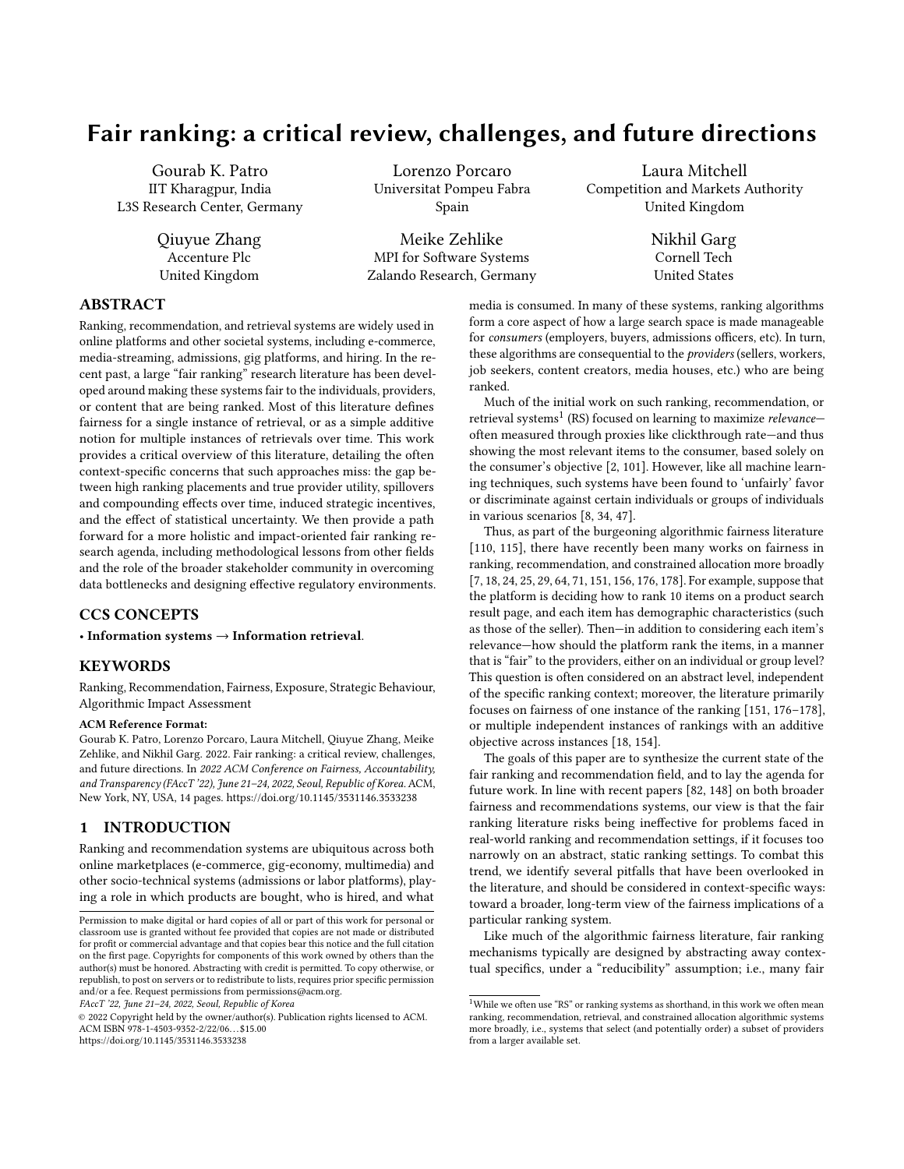# Fair ranking: a critical review, challenges, and future directions

Gourab K. Patro IIT Kharagpur, India L3S Research Center, Germany

> Qiuyue Zhang Accenture Plc United Kingdom

Lorenzo Porcaro Universitat Pompeu Fabra Spain

Meike Zehlike MPI for Software Systems Zalando Research, Germany

Laura Mitchell Competition and Markets Authority United Kingdom

> Nikhil Garg Cornell Tech United States

# ABSTRACT

Ranking, recommendation, and retrieval systems are widely used in online platforms and other societal systems, including e-commerce, media-streaming, admissions, gig platforms, and hiring. In the recent past, a large "fair ranking" research literature has been developed around making these systems fair to the individuals, providers, or content that are being ranked. Most of this literature defines fairness for a single instance of retrieval, or as a simple additive notion for multiple instances of retrievals over time. This work provides a critical overview of this literature, detailing the often context-specific concerns that such approaches miss: the gap between high ranking placements and true provider utility, spillovers and compounding effects over time, induced strategic incentives, and the effect of statistical uncertainty. We then provide a path forward for a more holistic and impact-oriented fair ranking research agenda, including methodological lessons from other fields and the role of the broader stakeholder community in overcoming data bottlenecks and designing effective regulatory environments.

#### CCS CONCEPTS

• Information systems  $\rightarrow$  Information retrieval.

### **KEYWORDS**

Ranking, Recommendation, Fairness, Exposure, Strategic Behaviour, Algorithmic Impact Assessment

#### ACM Reference Format:

Gourab K. Patro, Lorenzo Porcaro, Laura Mitchell, Qiuyue Zhang, Meike Zehlike, and Nikhil Garg. 2022. Fair ranking: a critical review, challenges, and future directions. In 2022 ACM Conference on Fairness, Accountability, and Transparency (FAccT '22), June 21-24, 2022, Seoul, Republic of Korea. ACM, New York, NY, USA, [14](#page-13-0) pages.<https://doi.org/10.1145/3531146.3533238>

## 1 INTRODUCTION

Ranking and recommendation systems are ubiquitous across both online marketplaces (e-commerce, gig-economy, multimedia) and other socio-technical systems (admissions or labor platforms), playing a role in which products are bought, who is hired, and what

FAccT '22, June 21–24, 2022, Seoul, Republic of Korea

© 2022 Copyright held by the owner/author(s). Publication rights licensed to ACM. ACM ISBN 978-1-4503-9352-2/22/06. . . \$15.00 <https://doi.org/10.1145/3531146.3533238>

media is consumed. In many of these systems, ranking algorithms form a core aspect of how a large search space is made manageable for consumers (employers, buyers, admissions officers, etc). In turn, these algorithms are consequential to the *providers* (sellers, workers, job seekers, content creators, media houses, etc.) who are being ranked.

Much of the initial work on such ranking, recommendation, or retrieval systems $^1$  $^1$  (RS) focused on learning to maximize *relevance* often measured through proxies like clickthrough rate—and thus showing the most relevant items to the consumer, based solely on the consumer's objective [\[2,](#page-9-0) [101\]](#page-11-0). However, like all machine learning techniques, such systems have been found to 'unfairly' favor or discriminate against certain individuals or groups of individuals in various scenarios [\[8,](#page-9-1) [34,](#page-10-0) [47\]](#page-10-1).

Thus, as part of the burgeoning algorithmic fairness literature [\[110,](#page-11-1) [115\]](#page-12-0), there have recently been many works on fairness in ranking, recommendation, and constrained allocation more broadly [\[7,](#page-9-2) [18,](#page-10-2) [24,](#page-10-3) [25,](#page-10-4) [29,](#page-10-5) [64,](#page-11-2) [71,](#page-11-3) [151,](#page-12-1) [156,](#page-12-2) [176,](#page-13-1) [178\]](#page-13-2). For example, suppose that the platform is deciding how to rank 10 items on a product search result page, and each item has demographic characteristics (such as those of the seller). Then—in addition to considering each item's relevance—how should the platform rank the items, in a manner that is "fair" to the providers, either on an individual or group level? This question is often considered on an abstract level, independent of the specific ranking context; moreover, the literature primarily focuses on fairness of one instance of the ranking [\[151,](#page-12-1) [176](#page-13-1)[–178\]](#page-13-2), or multiple independent instances of rankings with an additive objective across instances [\[18,](#page-10-2) [154\]](#page-12-3).

The goals of this paper are to synthesize the current state of the fair ranking and recommendation field, and to lay the agenda for future work. In line with recent papers [\[82,](#page-11-4) [148\]](#page-12-4) on both broader fairness and recommendations systems, our view is that the fair ranking literature risks being ineffective for problems faced in real-world ranking and recommendation settings, if it focuses too narrowly on an abstract, static ranking settings. To combat this trend, we identify several pitfalls that have been overlooked in the literature, and should be considered in context-specific ways: toward a broader, long-term view of the fairness implications of a particular ranking system.

Like much of the algorithmic fairness literature, fair ranking mechanisms typically are designed by abstracting away contextual specifics, under a "reducibility" assumption; i.e., many fair

Permission to make digital or hard copies of all or part of this work for personal or classroom use is granted without fee provided that copies are not made or distributed for profit or commercial advantage and that copies bear this notice and the full citation on the first page. Copyrights for components of this work owned by others than the author(s) must be honored. Abstracting with credit is permitted. To copy otherwise, or republish, to post on servers or to redistribute to lists, requires prior specific permission and/or a fee. Request permissions from permissions@acm.org.

<span id="page-0-0"></span> $^1\rm{White}$  we often use "RS" or ranking systems as shorthand, in this work we often mean ranking, recommendation, retrieval, and constrained allocation algorithmic systems more broadly, i.e., systems that select (and potentially order) a subset of providers from a larger available set.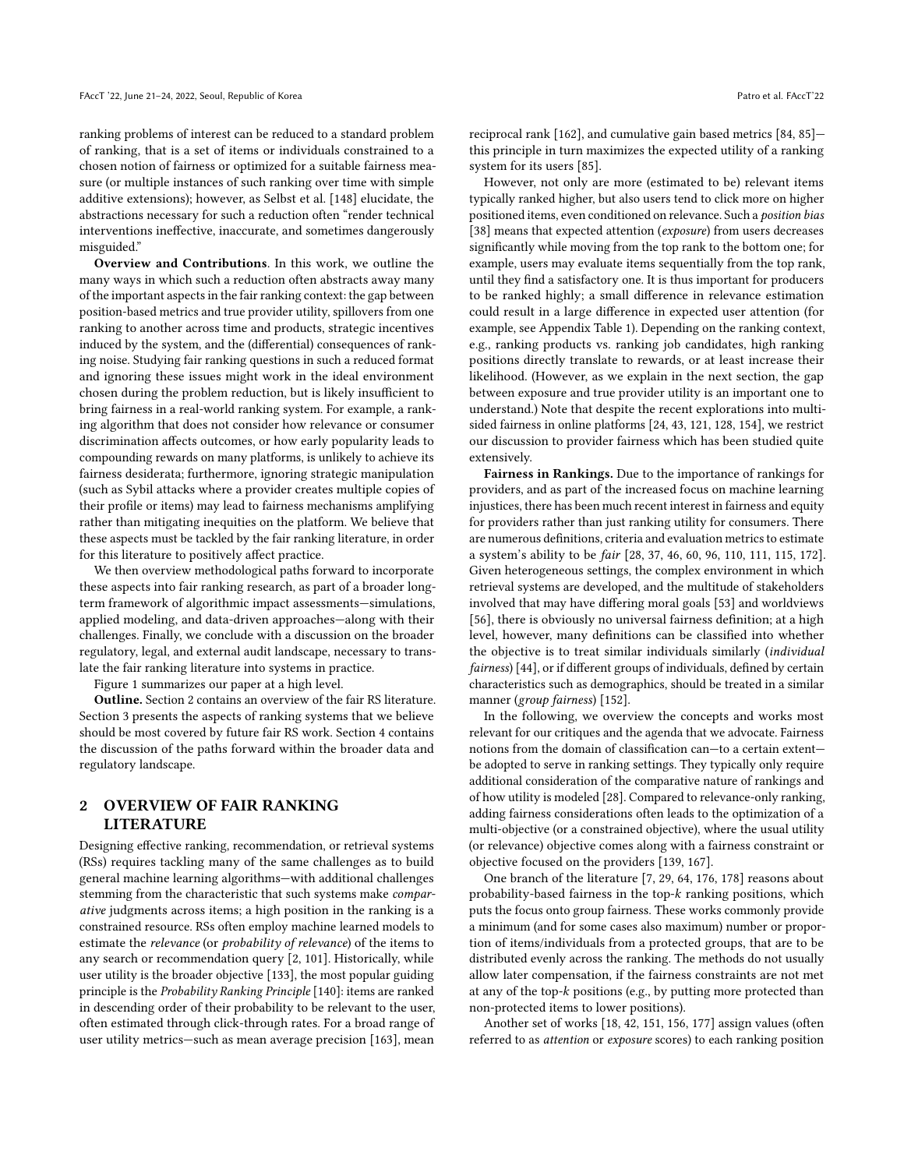ranking problems of interest can be reduced to a standard problem of ranking, that is a set of items or individuals constrained to a chosen notion of fairness or optimized for a suitable fairness measure (or multiple instances of such ranking over time with simple additive extensions); however, as Selbst et al. [\[148\]](#page-12-4) elucidate, the abstractions necessary for such a reduction often "render technical interventions ineffective, inaccurate, and sometimes dangerously misguided."

Overview and Contributions. In this work, we outline the many ways in which such a reduction often abstracts away many of the important aspects in the fair ranking context: the gap between position-based metrics and true provider utility, spillovers from one ranking to another across time and products, strategic incentives induced by the system, and the (differential) consequences of ranking noise. Studying fair ranking questions in such a reduced format and ignoring these issues might work in the ideal environment chosen during the problem reduction, but is likely insufficient to bring fairness in a real-world ranking system. For example, a ranking algorithm that does not consider how relevance or consumer discrimination affects outcomes, or how early popularity leads to compounding rewards on many platforms, is unlikely to achieve its fairness desiderata; furthermore, ignoring strategic manipulation (such as Sybil attacks where a provider creates multiple copies of their profile or items) may lead to fairness mechanisms amplifying rather than mitigating inequities on the platform. We believe that these aspects must be tackled by the fair ranking literature, in order for this literature to positively affect practice.

We then overview methodological paths forward to incorporate these aspects into fair ranking research, as part of a broader longterm framework of algorithmic impact assessments—simulations, applied modeling, and data-driven approaches—along with their challenges. Finally, we conclude with a discussion on the broader regulatory, legal, and external audit landscape, necessary to translate the fair ranking literature into systems in practice.

Figure [1](#page-2-0) summarizes our paper at a high level.

Outline. Section [2](#page-1-0) contains an overview of the fair RS literature. Section [3](#page-2-1) presents the aspects of ranking systems that we believe should be most covered by future fair RS work. Section [4](#page-5-0) contains the discussion of the paths forward within the broader data and regulatory landscape.

# <span id="page-1-0"></span>2 OVERVIEW OF FAIR RANKING LITERATURE

Designing effective ranking, recommendation, or retrieval systems (RSs) requires tackling many of the same challenges as to build general machine learning algorithms—with additional challenges stemming from the characteristic that such systems make comparative judgments across items; a high position in the ranking is a constrained resource. RSs often employ machine learned models to estimate the relevance (or probability of relevance) of the items to any search or recommendation query [\[2,](#page-9-0) [101\]](#page-11-0). Historically, while user utility is the broader objective [\[133\]](#page-12-5), the most popular guiding principle is the Probability Ranking Principle [\[140\]](#page-12-6): items are ranked in descending order of their probability to be relevant to the user, often estimated through click-through rates. For a broad range of user utility metrics—such as mean average precision [\[163\]](#page-13-3), mean

reciprocal rank [\[162\]](#page-13-4), and cumulative gain based metrics [\[84,](#page-11-5) [85\]](#page-11-6) this principle in turn maximizes the expected utility of a ranking system for its users [\[85\]](#page-11-6).

However, not only are more (estimated to be) relevant items typically ranked higher, but also users tend to click more on higher positioned items, even conditioned on relevance. Such a position bias [\[38\]](#page-10-6) means that expected attention (exposure) from users decreases significantly while moving from the top rank to the bottom one; for example, users may evaluate items sequentially from the top rank, until they find a satisfactory one. It is thus important for producers to be ranked highly; a small difference in relevance estimation could result in a large difference in expected user attention (for example, see Appendix Table 1). Depending on the ranking context, e.g., ranking products vs. ranking job candidates, high ranking positions directly translate to rewards, or at least increase their likelihood. (However, as we explain in the next section, the gap between exposure and true provider utility is an important one to understand.) Note that despite the recent explorations into multisided fairness in online platforms [\[24,](#page-10-3) [43,](#page-10-7) [121,](#page-12-7) [128,](#page-12-8) [154\]](#page-12-3), we restrict our discussion to provider fairness which has been studied quite extensively.

Fairness in Rankings. Due to the importance of rankings for providers, and as part of the increased focus on machine learning injustices, there has been much recent interest in fairness and equity for providers rather than just ranking utility for consumers. There are numerous definitions, criteria and evaluation metrics to estimate a system's ability to be fair [\[28,](#page-10-8) [37,](#page-10-9) [46,](#page-10-10) [60,](#page-10-11) [96,](#page-11-7) [110,](#page-11-1) [111,](#page-11-8) [115,](#page-12-0) [172\]](#page-13-5). Given heterogeneous settings, the complex environment in which retrieval systems are developed, and the multitude of stakeholders involved that may have differing moral goals [\[53\]](#page-10-12) and worldviews [\[56\]](#page-10-13), there is obviously no universal fairness definition; at a high level, however, many definitions can be classified into whether the objective is to treat similar individuals similarly (individual fairness) [\[44\]](#page-10-14), or if different groups of individuals, defined by certain characteristics such as demographics, should be treated in a similar manner (group fairness) [\[152\]](#page-12-9).

In the following, we overview the concepts and works most relevant for our critiques and the agenda that we advocate. Fairness notions from the domain of classification can—to a certain extent be adopted to serve in ranking settings. They typically only require additional consideration of the comparative nature of rankings and of how utility is modeled [\[28\]](#page-10-8). Compared to relevance-only ranking, adding fairness considerations often leads to the optimization of a multi-objective (or a constrained objective), where the usual utility (or relevance) objective comes along with a fairness constraint or objective focused on the providers [\[139,](#page-12-10) [167\]](#page-13-6).

One branch of the literature [\[7,](#page-9-2) [29,](#page-10-5) [64,](#page-11-2) [176,](#page-13-1) [178\]](#page-13-2) reasons about probability-based fairness in the top-k ranking positions, which puts the focus onto group fairness. These works commonly provide a minimum (and for some cases also maximum) number or proportion of items/individuals from a protected groups, that are to be distributed evenly across the ranking. The methods do not usually allow later compensation, if the fairness constraints are not met at any of the top-k positions (e.g., by putting more protected than non-protected items to lower positions).

Another set of works [\[18,](#page-10-2) [42,](#page-10-15) [151,](#page-12-1) [156,](#page-12-2) [177\]](#page-13-7) assign values (often referred to as attention or exposure scores) to each ranking position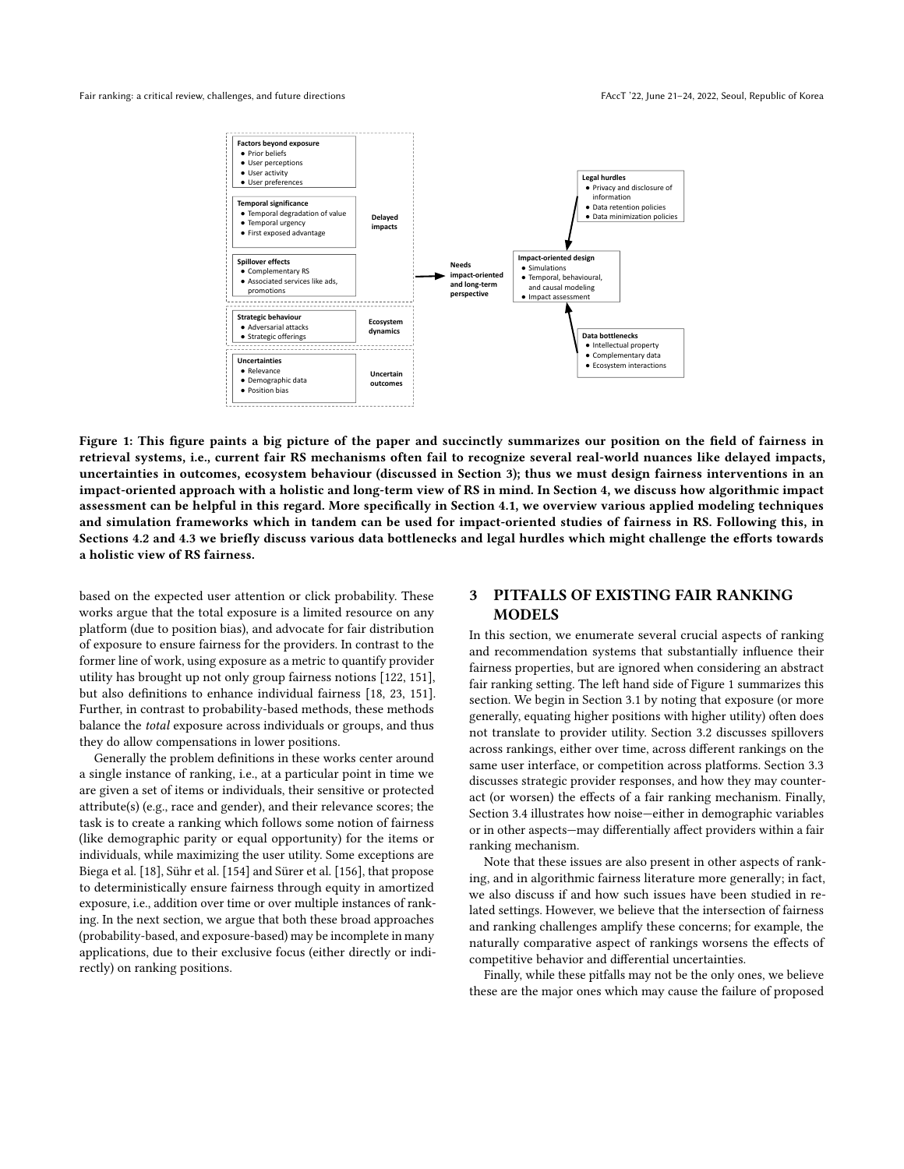<span id="page-2-0"></span>

Figure 1: This figure paints a big picture of the paper and succinctly summarizes our position on the field of fairness in retrieval systems, i.e., current fair RS mechanisms often fail to recognize several real-world nuances like delayed impacts, uncertainties in outcomes, ecosystem behaviour (discussed in Section [3\)](#page-2-1); thus we must design fairness interventions in an impact-oriented approach with a holistic and long-term view of RS in mind. In Section [4,](#page-5-0) we discuss how algorithmic impact assessment can be helpful in this regard. More specifically in Section [4.1,](#page-6-0) we overview various applied modeling techniques and simulation frameworks which in tandem can be used for impact-oriented studies of fairness in RS. Following this, in Sections [4.2](#page-7-0) and [4.3](#page-8-0) we briefly discuss various data bottlenecks and legal hurdles which might challenge the efforts towards a holistic view of RS fairness.

based on the expected user attention or click probability. These works argue that the total exposure is a limited resource on any platform (due to position bias), and advocate for fair distribution of exposure to ensure fairness for the providers. In contrast to the former line of work, using exposure as a metric to quantify provider utility has brought up not only group fairness notions [\[122,](#page-12-11) [151\]](#page-12-1), but also definitions to enhance individual fairness [\[18,](#page-10-2) [23,](#page-10-16) [151\]](#page-12-1). Further, in contrast to probability-based methods, these methods balance the total exposure across individuals or groups, and thus they do allow compensations in lower positions.

Generally the problem definitions in these works center around a single instance of ranking, i.e., at a particular point in time we are given a set of items or individuals, their sensitive or protected attribute(s) (e.g., race and gender), and their relevance scores; the task is to create a ranking which follows some notion of fairness (like demographic parity or equal opportunity) for the items or individuals, while maximizing the user utility. Some exceptions are Biega et al. [\[18\]](#page-10-2), Sühr et al. [\[154\]](#page-12-3) and Sürer et al. [\[156\]](#page-12-2), that propose to deterministically ensure fairness through equity in amortized exposure, i.e., addition over time or over multiple instances of ranking. In the next section, we argue that both these broad approaches (probability-based, and exposure-based) may be incomplete in many applications, due to their exclusive focus (either directly or indirectly) on ranking positions.

# <span id="page-2-1"></span>3 PITFALLS OF EXISTING FAIR RANKING MODELS

In this section, we enumerate several crucial aspects of ranking and recommendation systems that substantially influence their fairness properties, but are ignored when considering an abstract fair ranking setting. The left hand side of Figure [1](#page-2-0) summarizes this section. We begin in Section [3.1](#page-3-0) by noting that exposure (or more generally, equating higher positions with higher utility) often does not translate to provider utility. Section [3.2](#page-3-1) discusses spillovers across rankings, either over time, across different rankings on the same user interface, or competition across platforms. Section [3.3](#page-4-0) discusses strategic provider responses, and how they may counteract (or worsen) the effects of a fair ranking mechanism. Finally, Section [3.4](#page-4-1) illustrates how noise—either in demographic variables or in other aspects—may differentially affect providers within a fair ranking mechanism.

Note that these issues are also present in other aspects of ranking, and in algorithmic fairness literature more generally; in fact, we also discuss if and how such issues have been studied in related settings. However, we believe that the intersection of fairness and ranking challenges amplify these concerns; for example, the naturally comparative aspect of rankings worsens the effects of competitive behavior and differential uncertainties.

Finally, while these pitfalls may not be the only ones, we believe these are the major ones which may cause the failure of proposed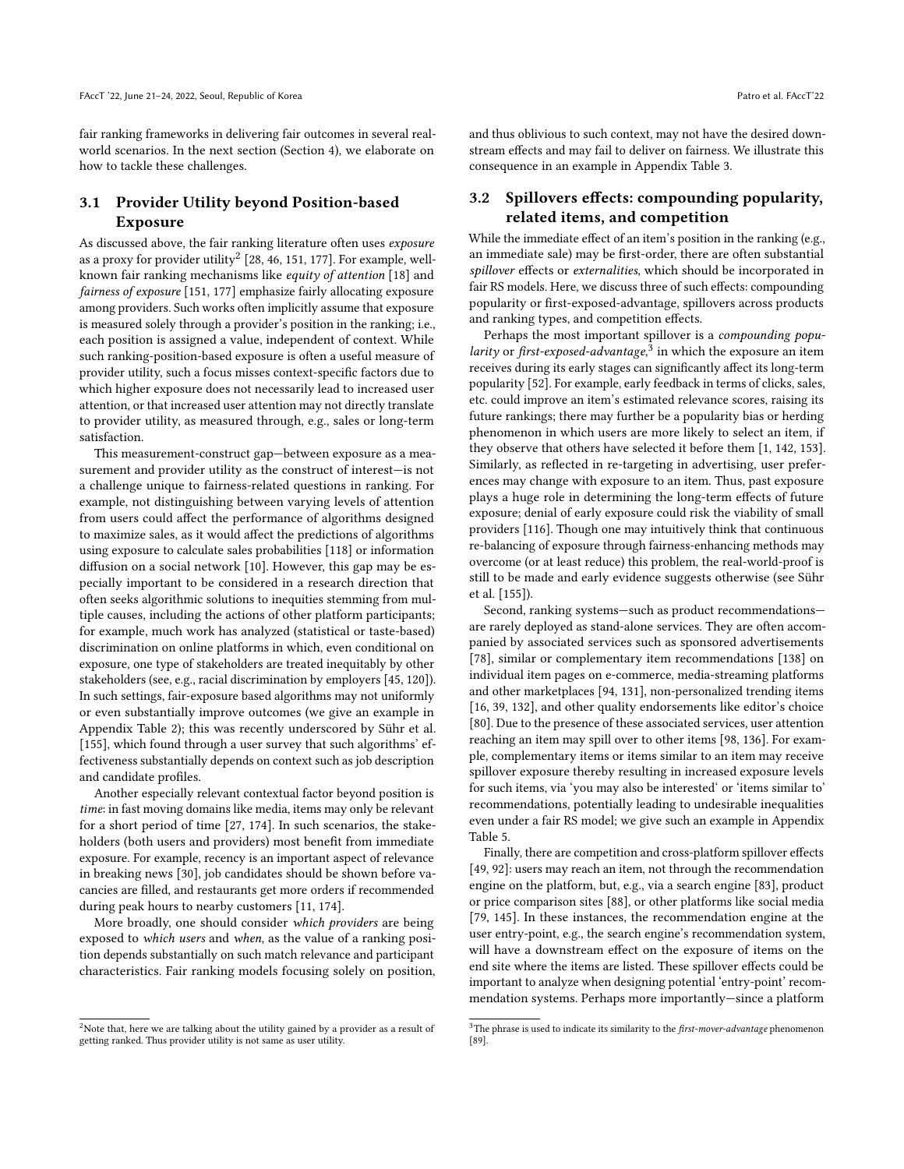fair ranking frameworks in delivering fair outcomes in several realworld scenarios. In the next section (Section [4\)](#page-5-0), we elaborate on how to tackle these challenges.

# <span id="page-3-0"></span>3.1 Provider Utility beyond Position-based Exposure

As discussed above, the fair ranking literature often uses exposure as a proxy for provider utility<sup>[2](#page-3-2)</sup> [\[28,](#page-10-8) [46,](#page-10-10) [151,](#page-12-1) [177\]](#page-13-7). For example, wellknown fair ranking mechanisms like equity of attention [\[18\]](#page-10-2) and fairness of exposure [\[151,](#page-12-1) [177\]](#page-13-7) emphasize fairly allocating exposure among providers. Such works often implicitly assume that exposure is measured solely through a provider's position in the ranking; i.e., each position is assigned a value, independent of context. While such ranking-position-based exposure is often a useful measure of provider utility, such a focus misses context-specific factors due to which higher exposure does not necessarily lead to increased user attention, or that increased user attention may not directly translate to provider utility, as measured through, e.g., sales or long-term satisfaction.

This measurement-construct gap—between exposure as a measurement and provider utility as the construct of interest—is not a challenge unique to fairness-related questions in ranking. For example, not distinguishing between varying levels of attention from users could affect the performance of algorithms designed to maximize sales, as it would affect the predictions of algorithms using exposure to calculate sales probabilities [\[118\]](#page-12-12) or information diffusion on a social network [\[10\]](#page-9-3). However, this gap may be especially important to be considered in a research direction that often seeks algorithmic solutions to inequities stemming from multiple causes, including the actions of other platform participants; for example, much work has analyzed (statistical or taste-based) discrimination on online platforms in which, even conditional on exposure, one type of stakeholders are treated inequitably by other stakeholders (see, e.g., racial discrimination by employers [\[45,](#page-10-17) [120\]](#page-12-13)). In such settings, fair-exposure based algorithms may not uniformly or even substantially improve outcomes (we give an example in Appendix Table 2); this was recently underscored by Sühr et al. [\[155\]](#page-12-14), which found through a user survey that such algorithms' effectiveness substantially depends on context such as job description and candidate profiles.

Another especially relevant contextual factor beyond position is time: in fast moving domains like media, items may only be relevant for a short period of time [\[27,](#page-10-18) [174\]](#page-13-8). In such scenarios, the stakeholders (both users and providers) most benefit from immediate exposure. For example, recency is an important aspect of relevance in breaking news [\[30\]](#page-10-19), job candidates should be shown before vacancies are filled, and restaurants get more orders if recommended during peak hours to nearby customers [\[11,](#page-9-4) [174\]](#page-13-8).

More broadly, one should consider which providers are being exposed to which users and when, as the value of a ranking position depends substantially on such match relevance and participant characteristics. Fair ranking models focusing solely on position, and thus oblivious to such context, may not have the desired down-

<span id="page-3-1"></span>3.2 Spillovers effects: compounding popularity, related items, and competition

stream effects and may fail to deliver on fairness. We illustrate this

consequence in an example in Appendix Table 3.

While the immediate effect of an item's position in the ranking (e.g., an immediate sale) may be first-order, there are often substantial spillover effects or externalities, which should be incorporated in fair RS models. Here, we discuss three of such effects: compounding popularity or first-exposed-advantage, spillovers across products and ranking types, and competition effects.

Perhaps the most important spillover is a compounding popularity or first-exposed-advantage, $3$  in which the exposure an item receives during its early stages can significantly affect its long-term popularity [\[52\]](#page-10-20). For example, early feedback in terms of clicks, sales, etc. could improve an item's estimated relevance scores, raising its future rankings; there may further be a popularity bias or herding phenomenon in which users are more likely to select an item, if they observe that others have selected it before them [\[1,](#page-9-5) [142,](#page-12-15) [153\]](#page-12-16). Similarly, as reflected in re-targeting in advertising, user preferences may change with exposure to an item. Thus, past exposure plays a huge role in determining the long-term effects of future exposure; denial of early exposure could risk the viability of small providers [\[116\]](#page-12-17). Though one may intuitively think that continuous re-balancing of exposure through fairness-enhancing methods may overcome (or at least reduce) this problem, the real-world-proof is still to be made and early evidence suggests otherwise (see Sühr et al. [\[155\]](#page-12-14)).

Second, ranking systems—such as product recommendations are rarely deployed as stand-alone services. They are often accompanied by associated services such as sponsored advertisements [\[78\]](#page-11-9), similar or complementary item recommendations [\[138\]](#page-12-18) on individual item pages on e-commerce, media-streaming platforms and other marketplaces [\[94,](#page-11-10) [131\]](#page-12-19), non-personalized trending items [\[16,](#page-10-21) [39,](#page-10-22) [132\]](#page-12-20), and other quality endorsements like editor's choice [\[80\]](#page-11-11). Due to the presence of these associated services, user attention reaching an item may spill over to other items [\[98,](#page-11-12) [136\]](#page-12-21). For example, complementary items or items similar to an item may receive spillover exposure thereby resulting in increased exposure levels for such items, via 'you may also be interested' or 'items similar to' recommendations, potentially leading to undesirable inequalities even under a fair RS model; we give such an example in Appendix Table 5.

Finally, there are competition and cross-platform spillover effects [\[49,](#page-10-23) [92\]](#page-11-13): users may reach an item, not through the recommendation engine on the platform, but, e.g., via a search engine [\[83\]](#page-11-14), product or price comparison sites [\[88\]](#page-11-15), or other platforms like social media [\[79,](#page-11-16) [145\]](#page-12-22). In these instances, the recommendation engine at the user entry-point, e.g., the search engine's recommendation system, will have a downstream effect on the exposure of items on the end site where the items are listed. These spillover effects could be important to analyze when designing potential 'entry-point' recommendation systems. Perhaps more importantly—since a platform

<span id="page-3-2"></span><sup>&</sup>lt;sup>2</sup>Note that, here we are talking about the utility gained by a provider as a result of getting ranked. Thus provider utility is not same as user utility.

<span id="page-3-3"></span> $^3\mathrm{The}$  phrase is used to indicate its similarity to the  $\emph{first-mover-advantage}$  phenomenon [\[89\]](#page-11-17).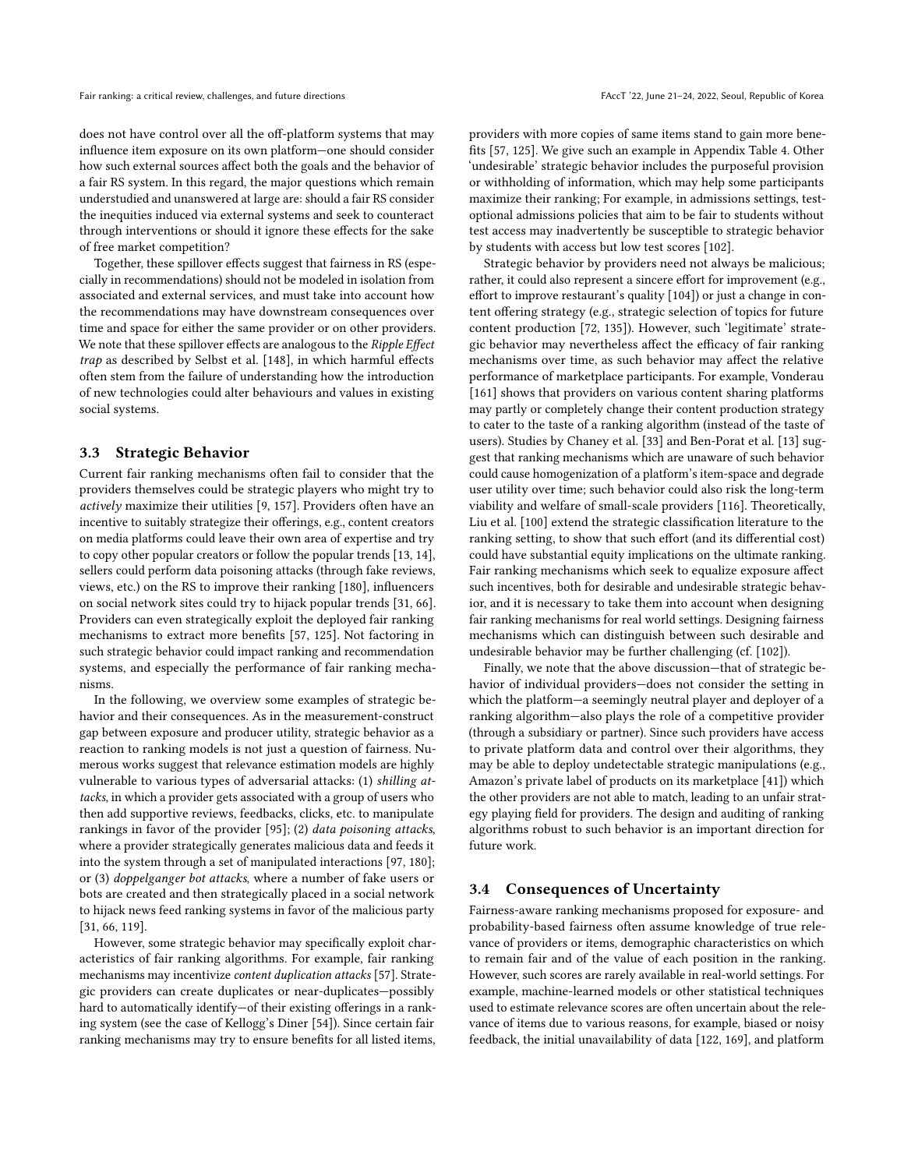does not have control over all the off-platform systems that may influence item exposure on its own platform—one should consider how such external sources affect both the goals and the behavior of a fair RS system. In this regard, the major questions which remain understudied and unanswered at large are: should a fair RS consider the inequities induced via external systems and seek to counteract through interventions or should it ignore these effects for the sake of free market competition?

Together, these spillover effects suggest that fairness in RS (especially in recommendations) should not be modeled in isolation from associated and external services, and must take into account how the recommendations may have downstream consequences over time and space for either the same provider or on other providers. We note that these spillover effects are analogous to the Ripple Effect trap as described by Selbst et al. [\[148\]](#page-12-4), in which harmful effects often stem from the failure of understanding how the introduction of new technologies could alter behaviours and values in existing social systems.

#### <span id="page-4-0"></span>3.3 Strategic Behavior

Current fair ranking mechanisms often fail to consider that the providers themselves could be strategic players who might try to actively maximize their utilities [\[9,](#page-9-6) [157\]](#page-12-23). Providers often have an incentive to suitably strategize their offerings, e.g., content creators on media platforms could leave their own area of expertise and try to copy other popular creators or follow the popular trends [\[13,](#page-9-7) [14\]](#page-9-8), sellers could perform data poisoning attacks (through fake reviews, views, etc.) on the RS to improve their ranking [\[180\]](#page-13-9), influencers on social network sites could try to hijack popular trends [\[31,](#page-10-24) [66\]](#page-11-18). Providers can even strategically exploit the deployed fair ranking mechanisms to extract more benefits [\[57,](#page-10-25) [125\]](#page-12-24). Not factoring in such strategic behavior could impact ranking and recommendation systems, and especially the performance of fair ranking mechanisms.

In the following, we overview some examples of strategic behavior and their consequences. As in the measurement-construct gap between exposure and producer utility, strategic behavior as a reaction to ranking models is not just a question of fairness. Numerous works suggest that relevance estimation models are highly vulnerable to various types of adversarial attacks: (1) shilling attacks, in which a provider gets associated with a group of users who then add supportive reviews, feedbacks, clicks, etc. to manipulate rankings in favor of the provider [\[95\]](#page-11-19); (2) data poisoning attacks, where a provider strategically generates malicious data and feeds it into the system through a set of manipulated interactions [\[97,](#page-11-20) [180\]](#page-13-9); or (3) doppelganger bot attacks, where a number of fake users or bots are created and then strategically placed in a social network to hijack news feed ranking systems in favor of the malicious party [\[31,](#page-10-24) [66,](#page-11-18) [119\]](#page-12-25).

However, some strategic behavior may specifically exploit characteristics of fair ranking algorithms. For example, fair ranking mechanisms may incentivize content duplication attacks [\[57\]](#page-10-25). Strategic providers can create duplicates or near-duplicates—possibly hard to automatically identify—of their existing offerings in a ranking system (see the case of Kellogg's Diner [\[54\]](#page-10-26)). Since certain fair ranking mechanisms may try to ensure benefits for all listed items,

providers with more copies of same items stand to gain more benefits [\[57,](#page-10-25) [125\]](#page-12-24). We give such an example in Appendix Table 4. Other 'undesirable' strategic behavior includes the purposeful provision or withholding of information, which may help some participants maximize their ranking; For example, in admissions settings, testoptional admissions policies that aim to be fair to students without test access may inadvertently be susceptible to strategic behavior by students with access but low test scores [\[102\]](#page-11-21).

Strategic behavior by providers need not always be malicious; rather, it could also represent a sincere effort for improvement (e.g., effort to improve restaurant's quality [\[104\]](#page-11-22)) or just a change in content offering strategy (e.g., strategic selection of topics for future content production [\[72,](#page-11-23) [135\]](#page-12-26)). However, such 'legitimate' strategic behavior may nevertheless affect the efficacy of fair ranking mechanisms over time, as such behavior may affect the relative performance of marketplace participants. For example, Vonderau [\[161\]](#page-13-10) shows that providers on various content sharing platforms may partly or completely change their content production strategy to cater to the taste of a ranking algorithm (instead of the taste of users). Studies by Chaney et al. [\[33\]](#page-10-27) and Ben-Porat et al. [\[13\]](#page-9-7) suggest that ranking mechanisms which are unaware of such behavior could cause homogenization of a platform's item-space and degrade user utility over time; such behavior could also risk the long-term viability and welfare of small-scale providers [\[116\]](#page-12-17). Theoretically, Liu et al. [\[100\]](#page-11-24) extend the strategic classification literature to the ranking setting, to show that such effort (and its differential cost) could have substantial equity implications on the ultimate ranking. Fair ranking mechanisms which seek to equalize exposure affect such incentives, both for desirable and undesirable strategic behavior, and it is necessary to take them into account when designing fair ranking mechanisms for real world settings. Designing fairness mechanisms which can distinguish between such desirable and undesirable behavior may be further challenging (cf. [\[102\]](#page-11-21)).

Finally, we note that the above discussion—that of strategic behavior of individual providers—does not consider the setting in which the platform—a seemingly neutral player and deployer of a ranking algorithm—also plays the role of a competitive provider (through a subsidiary or partner). Since such providers have access to private platform data and control over their algorithms, they may be able to deploy undetectable strategic manipulations (e.g., Amazon's private label of products on its marketplace [\[41\]](#page-10-28)) which the other providers are not able to match, leading to an unfair strategy playing field for providers. The design and auditing of ranking algorithms robust to such behavior is an important direction for future work.

#### <span id="page-4-1"></span>3.4 Consequences of Uncertainty

Fairness-aware ranking mechanisms proposed for exposure- and probability-based fairness often assume knowledge of true relevance of providers or items, demographic characteristics on which to remain fair and of the value of each position in the ranking. However, such scores are rarely available in real-world settings. For example, machine-learned models or other statistical techniques used to estimate relevance scores are often uncertain about the relevance of items due to various reasons, for example, biased or noisy feedback, the initial unavailability of data [\[122,](#page-12-11) [169\]](#page-13-11), and platform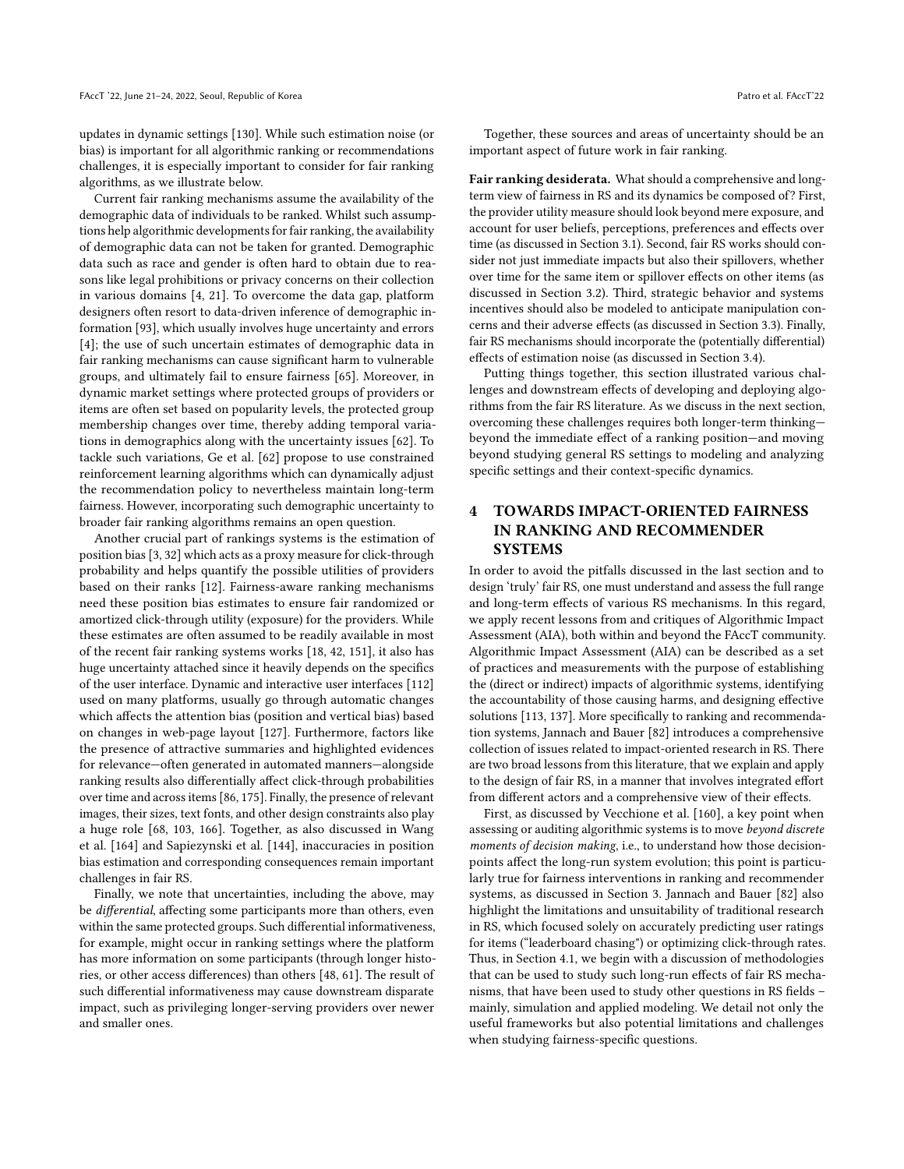updates in dynamic settings [\[130\]](#page-12-27). While such estimation noise (or bias) is important for all algorithmic ranking or recommendations challenges, it is especially important to consider for fair ranking algorithms, as we illustrate below.

Current fair ranking mechanisms assume the availability of the demographic data of individuals to be ranked. Whilst such assumptions help algorithmic developments for fair ranking, the availability of demographic data can not be taken for granted. Demographic data such as race and gender is often hard to obtain due to reasons like legal prohibitions or privacy concerns on their collection in various domains [\[4,](#page-9-9) [21\]](#page-10-29). To overcome the data gap, platform designers often resort to data-driven inference of demographic information [\[93\]](#page-11-25), which usually involves huge uncertainty and errors [\[4\]](#page-9-9); the use of such uncertain estimates of demographic data in fair ranking mechanisms can cause significant harm to vulnerable groups, and ultimately fail to ensure fairness [\[65\]](#page-11-26). Moreover, in dynamic market settings where protected groups of providers or items are often set based on popularity levels, the protected group membership changes over time, thereby adding temporal variations in demographics along with the uncertainty issues [\[62\]](#page-11-27). To tackle such variations, Ge et al. [\[62\]](#page-11-27) propose to use constrained reinforcement learning algorithms which can dynamically adjust the recommendation policy to nevertheless maintain long-term fairness. However, incorporating such demographic uncertainty to broader fair ranking algorithms remains an open question.

Another crucial part of rankings systems is the estimation of position bias [\[3,](#page-9-10) [32\]](#page-10-30) which acts as a proxy measure for click-through probability and helps quantify the possible utilities of providers based on their ranks [\[12\]](#page-9-11). Fairness-aware ranking mechanisms need these position bias estimates to ensure fair randomized or amortized click-through utility (exposure) for the providers. While these estimates are often assumed to be readily available in most of the recent fair ranking systems works [\[18,](#page-10-2) [42,](#page-10-15) [151\]](#page-12-1), it also has huge uncertainty attached since it heavily depends on the specifics of the user interface. Dynamic and interactive user interfaces [\[112\]](#page-11-28) used on many platforms, usually go through automatic changes which affects the attention bias (position and vertical bias) based on changes in web-page layout [\[127\]](#page-12-28). Furthermore, factors like the presence of attractive summaries and highlighted evidences for relevance—often generated in automated manners—alongside ranking results also differentially affect click-through probabilities over time and across items [\[86,](#page-11-29) [175\]](#page-13-12). Finally, the presence of relevant images, their sizes, text fonts, and other design constraints also play a huge role [\[68,](#page-11-30) [103,](#page-11-31) [166\]](#page-13-13). Together, as also discussed in Wang et al. [\[164\]](#page-13-14) and Sapiezynski et al. [\[144\]](#page-12-29), inaccuracies in position bias estimation and corresponding consequences remain important challenges in fair RS.

Finally, we note that uncertainties, including the above, may be differential, affecting some participants more than others, even within the same protected groups. Such differential informativeness, for example, might occur in ranking settings where the platform has more information on some participants (through longer histories, or other access differences) than others [\[48,](#page-10-31) [61\]](#page-10-32). The result of such differential informativeness may cause downstream disparate impact, such as privileging longer-serving providers over newer and smaller ones.

Together, these sources and areas of uncertainty should be an important aspect of future work in fair ranking.

Fair ranking desiderata. What should a comprehensive and longterm view of fairness in RS and its dynamics be composed of? First, the provider utility measure should look beyond mere exposure, and account for user beliefs, perceptions, preferences and effects over time (as discussed in Section [3.1\)](#page-3-0). Second, fair RS works should consider not just immediate impacts but also their spillovers, whether over time for the same item or spillover effects on other items (as discussed in Section [3.2\)](#page-3-1). Third, strategic behavior and systems incentives should also be modeled to anticipate manipulation concerns and their adverse effects (as discussed in Section [3.3\)](#page-4-0). Finally, fair RS mechanisms should incorporate the (potentially differential) effects of estimation noise (as discussed in Section [3.4\)](#page-4-1).

Putting things together, this section illustrated various challenges and downstream effects of developing and deploying algorithms from the fair RS literature. As we discuss in the next section, overcoming these challenges requires both longer-term thinking beyond the immediate effect of a ranking position—and moving beyond studying general RS settings to modeling and analyzing specific settings and their context-specific dynamics.

# <span id="page-5-0"></span>4 TOWARDS IMPACT-ORIENTED FAIRNESS IN RANKING AND RECOMMENDER **SYSTEMS**

In order to avoid the pitfalls discussed in the last section and to design 'truly' fair RS, one must understand and assess the full range and long-term effects of various RS mechanisms. In this regard, we apply recent lessons from and critiques of Algorithmic Impact Assessment (AIA), both within and beyond the FAccT community. Algorithmic Impact Assessment (AIA) can be described as a set of practices and measurements with the purpose of establishing the (direct or indirect) impacts of algorithmic systems, identifying the accountability of those causing harms, and designing effective solutions [\[113,](#page-12-30) [137\]](#page-12-31). More specifically to ranking and recommendation systems, Jannach and Bauer [\[82\]](#page-11-4) introduces a comprehensive collection of issues related to impact-oriented research in RS. There are two broad lessons from this literature, that we explain and apply to the design of fair RS, in a manner that involves integrated effort from different actors and a comprehensive view of their effects.

First, as discussed by Vecchione et al. [\[160\]](#page-13-15), a key point when assessing or auditing algorithmic systems is to move beyond discrete moments of decision making, i.e., to understand how those decisionpoints affect the long-run system evolution; this point is particularly true for fairness interventions in ranking and recommender systems, as discussed in Section [3.](#page-2-1) Jannach and Bauer [\[82\]](#page-11-4) also highlight the limitations and unsuitability of traditional research in RS, which focused solely on accurately predicting user ratings for items ("leaderboard chasing") or optimizing click-through rates. Thus, in Section [4.1,](#page-6-0) we begin with a discussion of methodologies that can be used to study such long-run effects of fair RS mechanisms, that have been used to study other questions in RS fields – mainly, simulation and applied modeling. We detail not only the useful frameworks but also potential limitations and challenges when studying fairness-specific questions.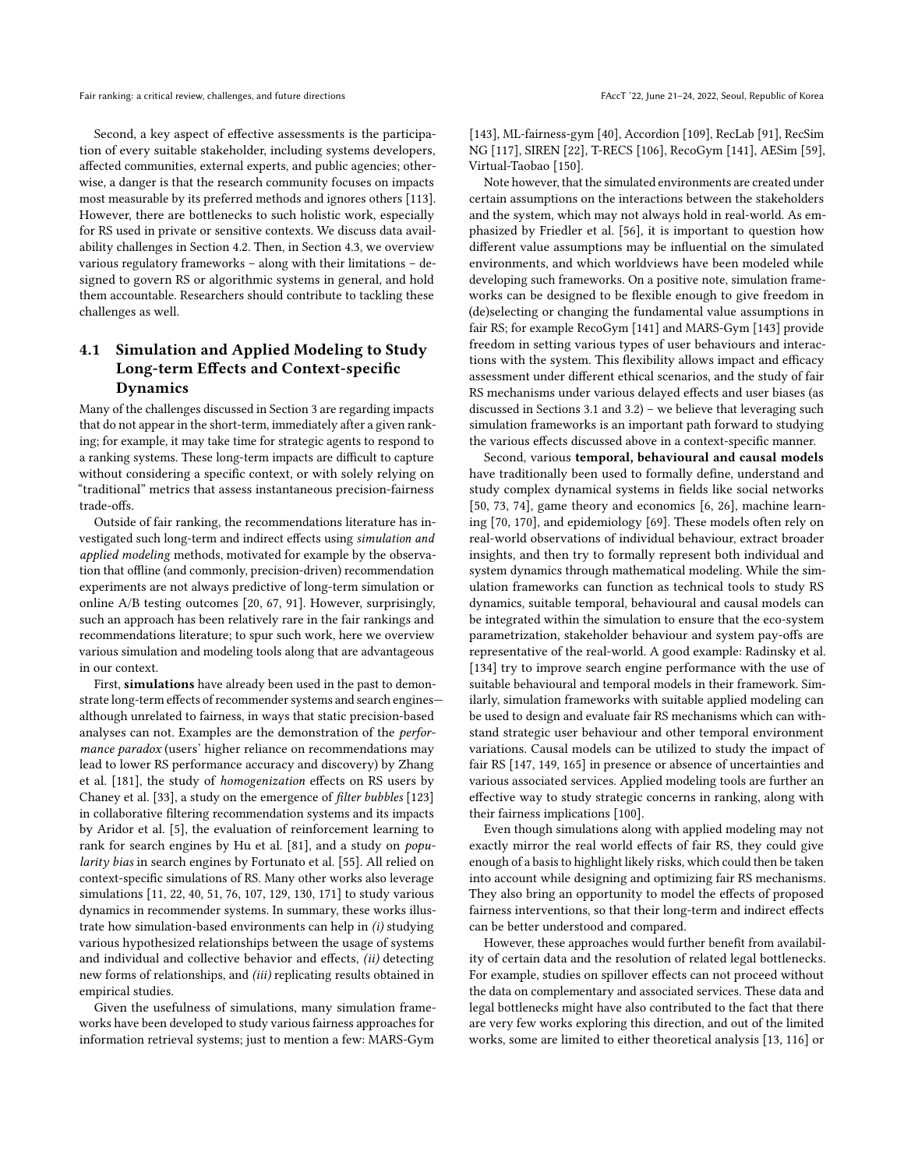Second, a key aspect of effective assessments is the participation of every suitable stakeholder, including systems developers, affected communities, external experts, and public agencies; otherwise, a danger is that the research community focuses on impacts most measurable by its preferred methods and ignores others [\[113\]](#page-12-30). However, there are bottlenecks to such holistic work, especially for RS used in private or sensitive contexts. We discuss data availability challenges in Section [4.2.](#page-7-0) Then, in Section [4.3,](#page-8-0) we overview various regulatory frameworks – along with their limitations – designed to govern RS or algorithmic systems in general, and hold them accountable. Researchers should contribute to tackling these challenges as well.

# <span id="page-6-0"></span>4.1 Simulation and Applied Modeling to Study Long-term Effects and Context-specific Dynamics

Many of the challenges discussed in Section [3](#page-2-1) are regarding impacts that do not appear in the short-term, immediately after a given ranking; for example, it may take time for strategic agents to respond to a ranking systems. These long-term impacts are difficult to capture without considering a specific context, or with solely relying on "traditional" metrics that assess instantaneous precision-fairness trade-offs.

Outside of fair ranking, the recommendations literature has investigated such long-term and indirect effects using simulation and applied modeling methods, motivated for example by the observation that offline (and commonly, precision-driven) recommendation experiments are not always predictive of long-term simulation or online A/B testing outcomes [\[20,](#page-10-33) [67,](#page-11-32) [91\]](#page-11-33). However, surprisingly, such an approach has been relatively rare in the fair rankings and recommendations literature; to spur such work, here we overview various simulation and modeling tools along that are advantageous in our context.

First, simulations have already been used in the past to demonstrate long-term effects of recommender systems and search engines although unrelated to fairness, in ways that static precision-based analyses can not. Examples are the demonstration of the performance paradox (users' higher reliance on recommendations may lead to lower RS performance accuracy and discovery) by Zhang et al. [\[181\]](#page-13-16), the study of homogenization effects on RS users by Chaney et al. [\[33\]](#page-10-27), a study on the emergence of filter bubbles [\[123\]](#page-12-32) in collaborative filtering recommendation systems and its impacts by Aridor et al. [\[5\]](#page-9-12), the evaluation of reinforcement learning to rank for search engines by Hu et al. [\[81\]](#page-11-34), and a study on popularity bias in search engines by Fortunato et al. [\[55\]](#page-10-34). All relied on context-specific simulations of RS. Many other works also leverage simulations [\[11,](#page-9-4) [22,](#page-10-35) [40,](#page-10-36) [51,](#page-10-37) [76,](#page-11-35) [107,](#page-11-36) [129,](#page-12-33) [130,](#page-12-27) [171\]](#page-13-17) to study various dynamics in recommender systems. In summary, these works illustrate how simulation-based environments can help in (i) studying various hypothesized relationships between the usage of systems and individual and collective behavior and effects, (ii) detecting new forms of relationships, and (iii) replicating results obtained in empirical studies.

Given the usefulness of simulations, many simulation frameworks have been developed to study various fairness approaches for information retrieval systems; just to mention a few: MARS-Gym

[\[143\]](#page-12-34), ML-fairness-gym [\[40\]](#page-10-36), Accordion [\[109\]](#page-11-37), RecLab [\[91\]](#page-11-33), RecSim NG [\[117\]](#page-12-35), SIREN [\[22\]](#page-10-35), T-RECS [\[106\]](#page-11-38), RecoGym [\[141\]](#page-12-36), AESim [\[59\]](#page-10-38), Virtual-Taobao [\[150\]](#page-12-37).

Note however, that the simulated environments are created under certain assumptions on the interactions between the stakeholders and the system, which may not always hold in real-world. As emphasized by Friedler et al. [\[56\]](#page-10-13), it is important to question how different value assumptions may be influential on the simulated environments, and which worldviews have been modeled while developing such frameworks. On a positive note, simulation frameworks can be designed to be flexible enough to give freedom in (de)selecting or changing the fundamental value assumptions in fair RS; for example RecoGym [\[141\]](#page-12-36) and MARS-Gym [\[143\]](#page-12-34) provide freedom in setting various types of user behaviours and interactions with the system. This flexibility allows impact and efficacy assessment under different ethical scenarios, and the study of fair RS mechanisms under various delayed effects and user biases (as discussed in Sections [3.1](#page-3-0) and [3.2\)](#page-3-1) – we believe that leveraging such simulation frameworks is an important path forward to studying the various effects discussed above in a context-specific manner.

Second, various temporal, behavioural and causal models have traditionally been used to formally define, understand and study complex dynamical systems in fields like social networks [\[50,](#page-10-39) [73,](#page-11-39) [74\]](#page-11-40), game theory and economics [\[6,](#page-9-13) [26\]](#page-10-40), machine learning [\[70,](#page-11-41) [170\]](#page-13-18), and epidemiology [\[69\]](#page-11-42). These models often rely on real-world observations of individual behaviour, extract broader insights, and then try to formally represent both individual and system dynamics through mathematical modeling. While the simulation frameworks can function as technical tools to study RS dynamics, suitable temporal, behavioural and causal models can be integrated within the simulation to ensure that the eco-system parametrization, stakeholder behaviour and system pay-offs are representative of the real-world. A good example: Radinsky et al. [\[134\]](#page-12-38) try to improve search engine performance with the use of suitable behavioural and temporal models in their framework. Similarly, simulation frameworks with suitable applied modeling can be used to design and evaluate fair RS mechanisms which can withstand strategic user behaviour and other temporal environment variations. Causal models can be utilized to study the impact of fair RS [\[147,](#page-12-39) [149,](#page-12-40) [165\]](#page-13-19) in presence or absence of uncertainties and various associated services. Applied modeling tools are further an effective way to study strategic concerns in ranking, along with their fairness implications [\[100\]](#page-11-24).

Even though simulations along with applied modeling may not exactly mirror the real world effects of fair RS, they could give enough of a basis to highlight likely risks, which could then be taken into account while designing and optimizing fair RS mechanisms. They also bring an opportunity to model the effects of proposed fairness interventions, so that their long-term and indirect effects can be better understood and compared.

However, these approaches would further benefit from availability of certain data and the resolution of related legal bottlenecks. For example, studies on spillover effects can not proceed without the data on complementary and associated services. These data and legal bottlenecks might have also contributed to the fact that there are very few works exploring this direction, and out of the limited works, some are limited to either theoretical analysis [\[13,](#page-9-7) [116\]](#page-12-17) or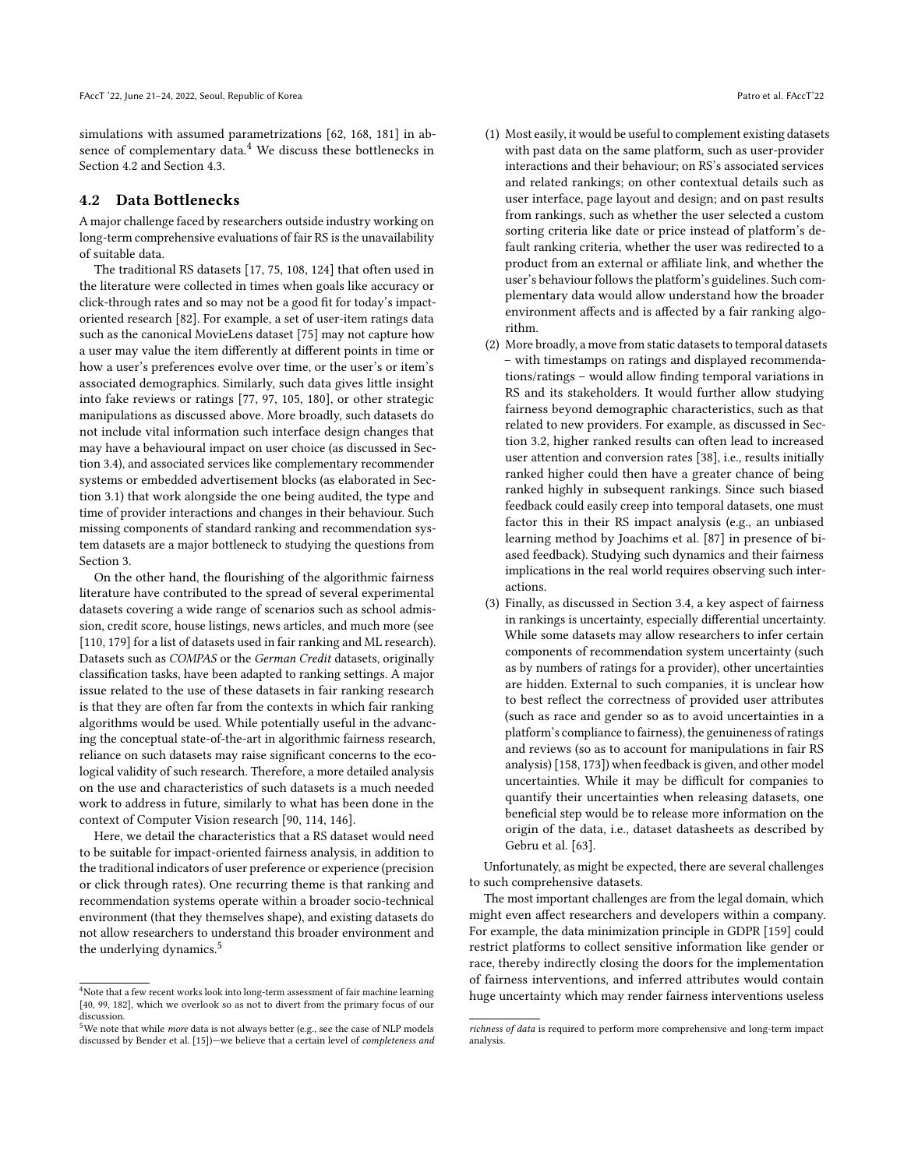simulations with assumed parametrizations [\[62,](#page-11-27) [168,](#page-13-20) [181\]](#page-13-16) in ab-sence of complementary data.<sup>[4](#page-7-1)</sup> We discuss these bottlenecks in Section [4.2](#page-7-0) and Section [4.3.](#page-8-0)

#### <span id="page-7-0"></span>4.2 Data Bottlenecks

A major challenge faced by researchers outside industry working on long-term comprehensive evaluations of fair RS is the unavailability of suitable data.

The traditional RS datasets [\[17,](#page-10-41) [75,](#page-11-43) [108,](#page-11-44) [124\]](#page-12-41) that often used in the literature were collected in times when goals like accuracy or click-through rates and so may not be a good fit for today's impactoriented research [\[82\]](#page-11-4). For example, a set of user-item ratings data such as the canonical MovieLens dataset [\[75\]](#page-11-43) may not capture how a user may value the item differently at different points in time or how a user's preferences evolve over time, or the user's or item's associated demographics. Similarly, such data gives little insight into fake reviews or ratings [\[77,](#page-11-45) [97,](#page-11-20) [105,](#page-11-46) [180\]](#page-13-9), or other strategic manipulations as discussed above. More broadly, such datasets do not include vital information such interface design changes that may have a behavioural impact on user choice (as discussed in Section [3.4\)](#page-4-1), and associated services like complementary recommender systems or embedded advertisement blocks (as elaborated in Section [3.1\)](#page-3-0) that work alongside the one being audited, the type and time of provider interactions and changes in their behaviour. Such missing components of standard ranking and recommendation system datasets are a major bottleneck to studying the questions from Section [3.](#page-2-1)

On the other hand, the flourishing of the algorithmic fairness literature have contributed to the spread of several experimental datasets covering a wide range of scenarios such as school admission, credit score, house listings, news articles, and much more (see [\[110,](#page-11-1) [179\]](#page-13-21) for a list of datasets used in fair ranking and ML research). Datasets such as COMPAS or the German Credit datasets, originally classification tasks, have been adapted to ranking settings. A major issue related to the use of these datasets in fair ranking research is that they are often far from the contexts in which fair ranking algorithms would be used. While potentially useful in the advancing the conceptual state-of-the-art in algorithmic fairness research, reliance on such datasets may raise significant concerns to the ecological validity of such research. Therefore, a more detailed analysis on the use and characteristics of such datasets is a much needed work to address in future, similarly to what has been done in the context of Computer Vision research [\[90,](#page-11-47) [114,](#page-12-42) [146\]](#page-12-43).

Here, we detail the characteristics that a RS dataset would need to be suitable for impact-oriented fairness analysis, in addition to the traditional indicators of user preference or experience (precision or click through rates). One recurring theme is that ranking and recommendation systems operate within a broader socio-technical environment (that they themselves shape), and existing datasets do not allow researchers to understand this broader environment and the underlying dynamics.<sup>[5](#page-7-2)</sup>

- (1) Most easily, it would be useful to complement existing datasets with past data on the same platform, such as user-provider interactions and their behaviour; on RS's associated services and related rankings; on other contextual details such as user interface, page layout and design; and on past results from rankings, such as whether the user selected a custom sorting criteria like date or price instead of platform's default ranking criteria, whether the user was redirected to a product from an external or affiliate link, and whether the user's behaviour follows the platform's guidelines. Such complementary data would allow understand how the broader environment affects and is affected by a fair ranking algorithm.
- (2) More broadly, a move from static datasets to temporal datasets – with timestamps on ratings and displayed recommendations/ratings – would allow finding temporal variations in RS and its stakeholders. It would further allow studying fairness beyond demographic characteristics, such as that related to new providers. For example, as discussed in Section [3.2,](#page-3-1) higher ranked results can often lead to increased user attention and conversion rates [\[38\]](#page-10-6), i.e., results initially ranked higher could then have a greater chance of being ranked highly in subsequent rankings. Since such biased feedback could easily creep into temporal datasets, one must factor this in their RS impact analysis (e.g., an unbiased learning method by Joachims et al. [\[87\]](#page-11-49) in presence of biased feedback). Studying such dynamics and their fairness implications in the real world requires observing such interactions.
- (3) Finally, as discussed in Section [3.4,](#page-4-1) a key aspect of fairness in rankings is uncertainty, especially differential uncertainty. While some datasets may allow researchers to infer certain components of recommendation system uncertainty (such as by numbers of ratings for a provider), other uncertainties are hidden. External to such companies, it is unclear how to best reflect the correctness of provided user attributes (such as race and gender so as to avoid uncertainties in a platform's compliance to fairness), the genuineness of ratings and reviews (so as to account for manipulations in fair RS analysis) [\[158,](#page-13-23) [173\]](#page-13-24)) when feedback is given, and other model uncertainties. While it may be difficult for companies to quantify their uncertainties when releasing datasets, one beneficial step would be to release more information on the origin of the data, i.e., dataset datasheets as described by Gebru et al. [\[63\]](#page-11-50).

Unfortunately, as might be expected, there are several challenges to such comprehensive datasets.

The most important challenges are from the legal domain, which might even affect researchers and developers within a company. For example, the data minimization principle in GDPR [\[159\]](#page-13-25) could restrict platforms to collect sensitive information like gender or race, thereby indirectly closing the doors for the implementation of fairness interventions, and inferred attributes would contain huge uncertainty which may render fairness interventions useless

<span id="page-7-1"></span> $^4\rm{Note}$  that a few recent works look into long-term assessment of fair machine learning [\[40,](#page-10-36) [99,](#page-11-48) [182\]](#page-13-22), which we overlook so as not to divert from the primary focus of our discussion.

<span id="page-7-2"></span> $5$ We note that while *more* data is not always better (e.g., see the case of NLP models discussed by Bender et al. [\[15\]](#page-9-14))—we believe that a certain level of completeness and

richness of data is required to perform more comprehensive and long-term impact analysis.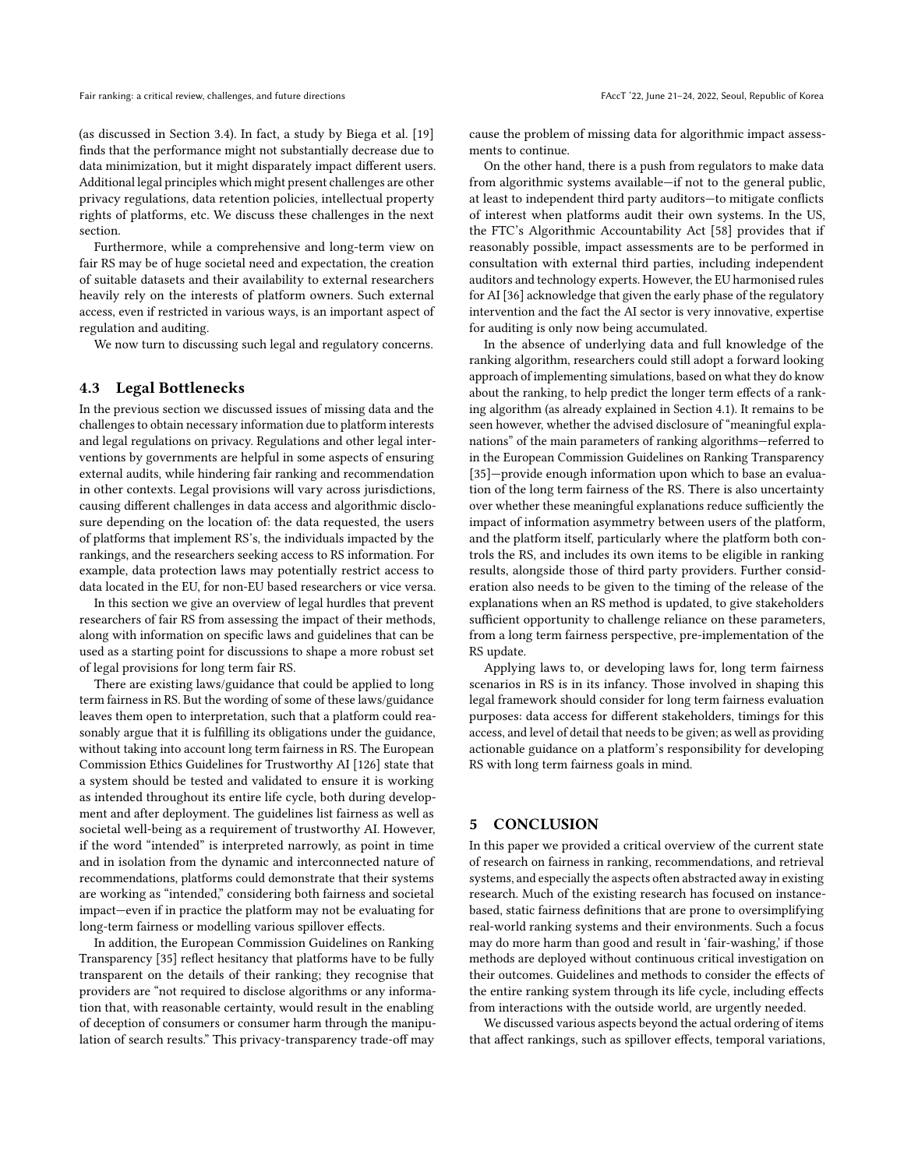Fair ranking: a critical review, challenges, and future directions FACCT '22, June 21–24, 2022, Seoul, Republic of Korea

(as discussed in Section [3.4\)](#page-4-1). In fact, a study by Biega et al. [\[19\]](#page-10-42) finds that the performance might not substantially decrease due to data minimization, but it might disparately impact different users. Additional legal principles which might present challenges are other privacy regulations, data retention policies, intellectual property rights of platforms, etc. We discuss these challenges in the next section.

Furthermore, while a comprehensive and long-term view on fair RS may be of huge societal need and expectation, the creation of suitable datasets and their availability to external researchers heavily rely on the interests of platform owners. Such external access, even if restricted in various ways, is an important aspect of regulation and auditing.

We now turn to discussing such legal and regulatory concerns.

#### <span id="page-8-0"></span>4.3 Legal Bottlenecks

In the previous section we discussed issues of missing data and the challenges to obtain necessary information due to platform interests and legal regulations on privacy. Regulations and other legal interventions by governments are helpful in some aspects of ensuring external audits, while hindering fair ranking and recommendation in other contexts. Legal provisions will vary across jurisdictions, causing different challenges in data access and algorithmic disclosure depending on the location of: the data requested, the users of platforms that implement RS's, the individuals impacted by the rankings, and the researchers seeking access to RS information. For example, data protection laws may potentially restrict access to data located in the EU, for non-EU based researchers or vice versa.

In this section we give an overview of legal hurdles that prevent researchers of fair RS from assessing the impact of their methods, along with information on specific laws and guidelines that can be used as a starting point for discussions to shape a more robust set of legal provisions for long term fair RS.

There are existing laws/guidance that could be applied to long term fairness in RS. But the wording of some of these laws/guidance leaves them open to interpretation, such that a platform could reasonably argue that it is fulfilling its obligations under the guidance, without taking into account long term fairness in RS. The European Commission Ethics Guidelines for Trustworthy AI [\[126\]](#page-12-44) state that a system should be tested and validated to ensure it is working as intended throughout its entire life cycle, both during development and after deployment. The guidelines list fairness as well as societal well-being as a requirement of trustworthy AI. However, if the word "intended" is interpreted narrowly, as point in time and in isolation from the dynamic and interconnected nature of recommendations, platforms could demonstrate that their systems are working as "intended," considering both fairness and societal impact—even if in practice the platform may not be evaluating for long-term fairness or modelling various spillover effects.

In addition, the European Commission Guidelines on Ranking Transparency [\[35\]](#page-10-43) reflect hesitancy that platforms have to be fully transparent on the details of their ranking; they recognise that providers are "not required to disclose algorithms or any information that, with reasonable certainty, would result in the enabling of deception of consumers or consumer harm through the manipulation of search results." This privacy-transparency trade-off may

cause the problem of missing data for algorithmic impact assessments to continue.

On the other hand, there is a push from regulators to make data from algorithmic systems available—if not to the general public, at least to independent third party auditors—to mitigate conflicts of interest when platforms audit their own systems. In the US, the FTC's Algorithmic Accountability Act [\[58\]](#page-10-44) provides that if reasonably possible, impact assessments are to be performed in consultation with external third parties, including independent auditors and technology experts. However, the EU harmonised rules for AI [\[36\]](#page-10-45) acknowledge that given the early phase of the regulatory intervention and the fact the AI sector is very innovative, expertise for auditing is only now being accumulated.

In the absence of underlying data and full knowledge of the ranking algorithm, researchers could still adopt a forward looking approach of implementing simulations, based on what they do know about the ranking, to help predict the longer term effects of a ranking algorithm (as already explained in Section [4.1\)](#page-6-0). It remains to be seen however, whether the advised disclosure of "meaningful explanations" of the main parameters of ranking algorithms—referred to in the European Commission Guidelines on Ranking Transparency [\[35\]](#page-10-43)—provide enough information upon which to base an evaluation of the long term fairness of the RS. There is also uncertainty over whether these meaningful explanations reduce sufficiently the impact of information asymmetry between users of the platform, and the platform itself, particularly where the platform both controls the RS, and includes its own items to be eligible in ranking results, alongside those of third party providers. Further consideration also needs to be given to the timing of the release of the explanations when an RS method is updated, to give stakeholders sufficient opportunity to challenge reliance on these parameters, from a long term fairness perspective, pre-implementation of the RS update.

Applying laws to, or developing laws for, long term fairness scenarios in RS is in its infancy. Those involved in shaping this legal framework should consider for long term fairness evaluation purposes: data access for different stakeholders, timings for this access, and level of detail that needs to be given; as well as providing actionable guidance on a platform's responsibility for developing RS with long term fairness goals in mind.

#### 5 CONCLUSION

In this paper we provided a critical overview of the current state of research on fairness in ranking, recommendations, and retrieval systems, and especially the aspects often abstracted away in existing research. Much of the existing research has focused on instancebased, static fairness definitions that are prone to oversimplifying real-world ranking systems and their environments. Such a focus may do more harm than good and result in 'fair-washing,' if those methods are deployed without continuous critical investigation on their outcomes. Guidelines and methods to consider the effects of the entire ranking system through its life cycle, including effects from interactions with the outside world, are urgently needed.

We discussed various aspects beyond the actual ordering of items that affect rankings, such as spillover effects, temporal variations,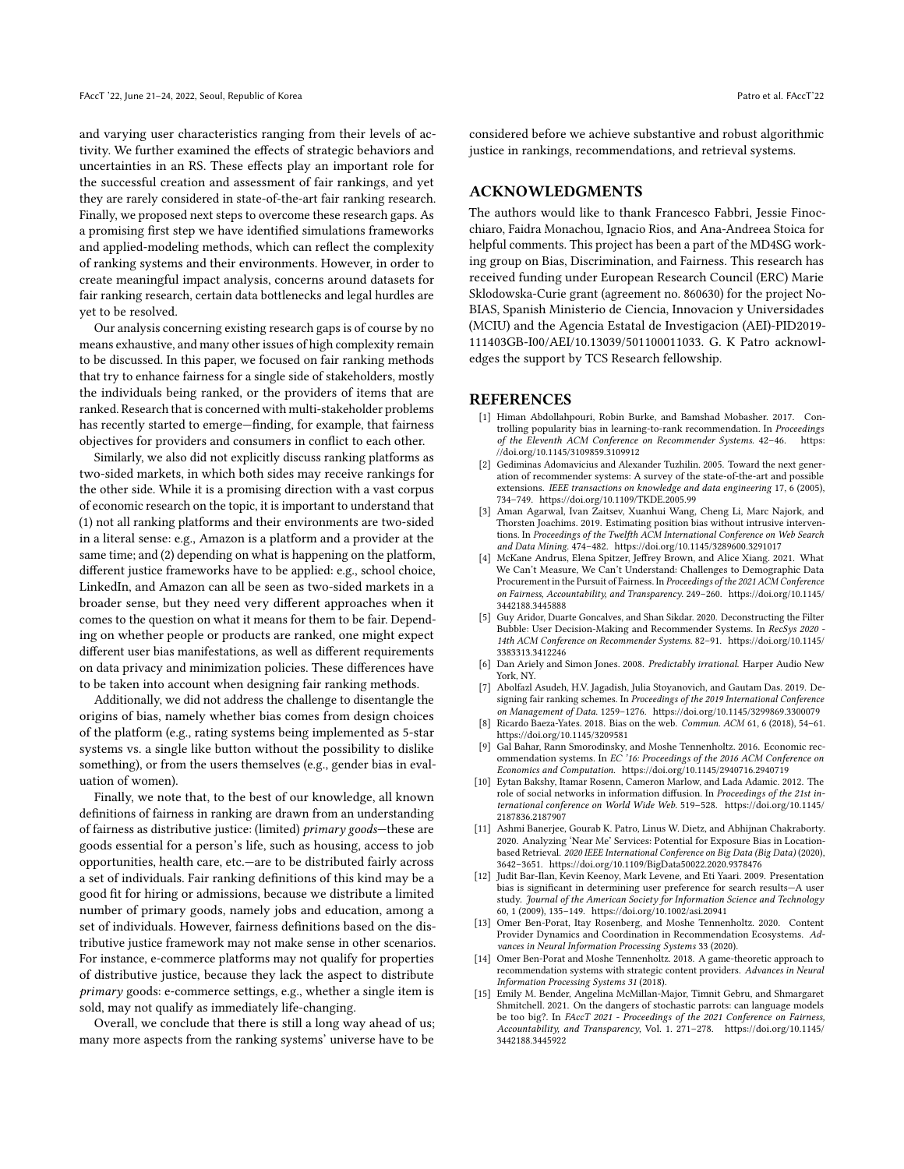and varying user characteristics ranging from their levels of activity. We further examined the effects of strategic behaviors and uncertainties in an RS. These effects play an important role for the successful creation and assessment of fair rankings, and yet they are rarely considered in state-of-the-art fair ranking research. Finally, we proposed next steps to overcome these research gaps. As a promising first step we have identified simulations frameworks and applied-modeling methods, which can reflect the complexity of ranking systems and their environments. However, in order to create meaningful impact analysis, concerns around datasets for fair ranking research, certain data bottlenecks and legal hurdles are yet to be resolved.

Our analysis concerning existing research gaps is of course by no means exhaustive, and many other issues of high complexity remain to be discussed. In this paper, we focused on fair ranking methods that try to enhance fairness for a single side of stakeholders, mostly the individuals being ranked, or the providers of items that are ranked. Research that is concerned with multi-stakeholder problems has recently started to emerge—finding, for example, that fairness objectives for providers and consumers in conflict to each other.

Similarly, we also did not explicitly discuss ranking platforms as two-sided markets, in which both sides may receive rankings for the other side. While it is a promising direction with a vast corpus of economic research on the topic, it is important to understand that (1) not all ranking platforms and their environments are two-sided in a literal sense: e.g., Amazon is a platform and a provider at the same time; and (2) depending on what is happening on the platform, different justice frameworks have to be applied: e.g., school choice, LinkedIn, and Amazon can all be seen as two-sided markets in a broader sense, but they need very different approaches when it comes to the question on what it means for them to be fair. Depending on whether people or products are ranked, one might expect different user bias manifestations, as well as different requirements on data privacy and minimization policies. These differences have to be taken into account when designing fair ranking methods.

Additionally, we did not address the challenge to disentangle the origins of bias, namely whether bias comes from design choices of the platform (e.g., rating systems being implemented as 5-star systems vs. a single like button without the possibility to dislike something), or from the users themselves (e.g., gender bias in evaluation of women).

Finally, we note that, to the best of our knowledge, all known definitions of fairness in ranking are drawn from an understanding of fairness as distributive justice: (limited) primary goods—these are goods essential for a person's life, such as housing, access to job opportunities, health care, etc.—are to be distributed fairly across a set of individuals. Fair ranking definitions of this kind may be a good fit for hiring or admissions, because we distribute a limited number of primary goods, namely jobs and education, among a set of individuals. However, fairness definitions based on the distributive justice framework may not make sense in other scenarios. For instance, e-commerce platforms may not qualify for properties of distributive justice, because they lack the aspect to distribute primary goods: e-commerce settings, e.g., whether a single item is sold, may not qualify as immediately life-changing.

Overall, we conclude that there is still a long way ahead of us; many more aspects from the ranking systems' universe have to be

considered before we achieve substantive and robust algorithmic justice in rankings, recommendations, and retrieval systems.

#### ACKNOWLEDGMENTS

The authors would like to thank Francesco Fabbri, Jessie Finocchiaro, Faidra Monachou, Ignacio Rios, and Ana-Andreea Stoica for helpful comments. This project has been a part of the [MD4SG](https://www.md4sg.com/) working group on Bias, Discrimination, and Fairness. This research has received funding under European Research Council (ERC) Marie Sklodowska-Curie grant (agreement no. 860630) for the project No-BIAS, Spanish Ministerio de Ciencia, Innovacion y Universidades (MCIU) and the Agencia Estatal de Investigacion (AEI)-PID2019- 111403GB-I00/AEI/10.13039/501100011033. G. K Patro acknowledges the support by TCS Research fellowship.

#### REFERENCES

- <span id="page-9-5"></span>[1] Himan Abdollahpouri, Robin Burke, and Bamshad Mobasher. 2017. Controlling popularity bias in learning-to-rank recommendation. In Proceedings of the Eleventh ACM Conference on Recommender Systems. 42–46. [https:](https://doi.org/10.1145/3109859.3109912) [//doi.org/10.1145/3109859.3109912](https://doi.org/10.1145/3109859.3109912)
- <span id="page-9-0"></span>[2] Gediminas Adomavicius and Alexander Tuzhilin. 2005. Toward the next generation of recommender systems: A survey of the state-of-the-art and possible extensions. IEEE transactions on knowledge and data engineering 17, 6 (2005), 734–749.<https://doi.org/10.1109/TKDE.2005.99>
- <span id="page-9-10"></span>[3] Aman Agarwal, Ivan Zaitsev, Xuanhui Wang, Cheng Li, Marc Najork, and Thorsten Joachims. 2019. Estimating position bias without intrusive interven-tions. In Proceedings of the Twelfth ACM International Conference on Web Search and Data Mining. 474–482.<https://doi.org/10.1145/3289600.3291017>
- <span id="page-9-9"></span>[4] McKane Andrus, Elena Spitzer, Jeffrey Brown, and Alice Xiang. 2021. What We Can't Measure, We Can't Understand: Challenges to Demographic Data Procurement in the Pursuit of Fairness. In Proceedings of the 2021 ACM Conference on Fairness, Accountability, and Transparency. 249–260. [https://doi.org/10.1145/](https://doi.org/10.1145/3442188.3445888) [3442188.3445888](https://doi.org/10.1145/3442188.3445888)
- <span id="page-9-12"></span>[5] Guy Aridor, Duarte Goncalves, and Shan Sikdar. 2020. Deconstructing the Filter Bubble: User Decision-Making and Recommender Systems. In RecSys 2020 - 14th ACM Conference on Recommender Systems. 82–91. [https://doi.org/10.1145/](https://doi.org/10.1145/3383313.3412246) [3383313.3412246](https://doi.org/10.1145/3383313.3412246)
- <span id="page-9-13"></span>[6] Dan Ariely and Simon Jones. 2008. Predictably irrational. Harper Audio New York, NY.
- <span id="page-9-2"></span>[7] Abolfazl Asudeh, H.V. Jagadish, Julia Stoyanovich, and Gautam Das. 2019. Designing fair ranking schemes. In Proceedings of the 2019 International Conference on Management of Data. 1259–1276.<https://doi.org/10.1145/3299869.3300079>
- <span id="page-9-1"></span>[8] Ricardo Baeza-Yates. 2018. Bias on the web. Commun. ACM 61, 6 (2018), 54–61. <https://doi.org/10.1145/3209581>
- <span id="page-9-6"></span>[9] Gal Bahar, Rann Smorodinsky, and Moshe Tennenholtz. 2016. Economic recommendation systems. In EC '16: Proceedings of the 2016 ACM Conference on Economics and Computation.<https://doi.org/10.1145/2940716.2940719>
- <span id="page-9-3"></span>[10] Eytan Bakshy, Itamar Rosenn, Cameron Marlow, and Lada Adamic. 2012. The role of social networks in information diffusion. In Proceedings of the 21st international conference on World Wide Web. 519–528. [https://doi.org/10.1145/](https://doi.org/10.1145/2187836.2187907) [2187836.2187907](https://doi.org/10.1145/2187836.2187907)
- <span id="page-9-4"></span>[11] Ashmi Banerjee, Gourab K. Patro, Linus W. Dietz, and Abhijnan Chakraborty. 2020. Analyzing 'Near Me' Services: Potential for Exposure Bias in Locationbased Retrieval. 2020 IEEE International Conference on Big Data (Big Data) (2020), 3642–3651.<https://doi.org/10.1109/BigData50022.2020.9378476>
- <span id="page-9-11"></span>[12] Judit Bar-Ilan, Kevin Keenoy, Mark Levene, and Eti Yaari. 2009. Presentation bias is significant in determining user preference for search results—A user study. Journal of the American Society for Information Science and Technology 60, 1 (2009), 135–149.<https://doi.org/10.1002/asi.20941>
- <span id="page-9-7"></span>[13] Omer Ben-Porat, Itay Rosenberg, and Moshe Tennenholtz. 2020. Content Provider Dynamics and Coordination in Recommendation Ecosystems. Advances in Neural Information Processing Systems 33 (2020).
- <span id="page-9-8"></span>[14] Omer Ben-Porat and Moshe Tennenholtz. 2018. A game-theoretic approach to recommendation systems with strategic content providers. Advances in Neural Information Processing Systems 31 (2018).
- <span id="page-9-14"></span>[15] Emily M. Bender, Angelina McMillan-Major, Timnit Gebru, and Shmargaret Shmitchell. 2021. On the dangers of stochastic parrots: can language models be too big?. In FAccT 2021 - Proceedings of the 2021 Conference on Fairness, Accountability, and Transparency, Vol. 1. 271–278. [https://doi.org/10.1145/](https://doi.org/10.1145/3442188.3445922) [3442188.3445922](https://doi.org/10.1145/3442188.3445922)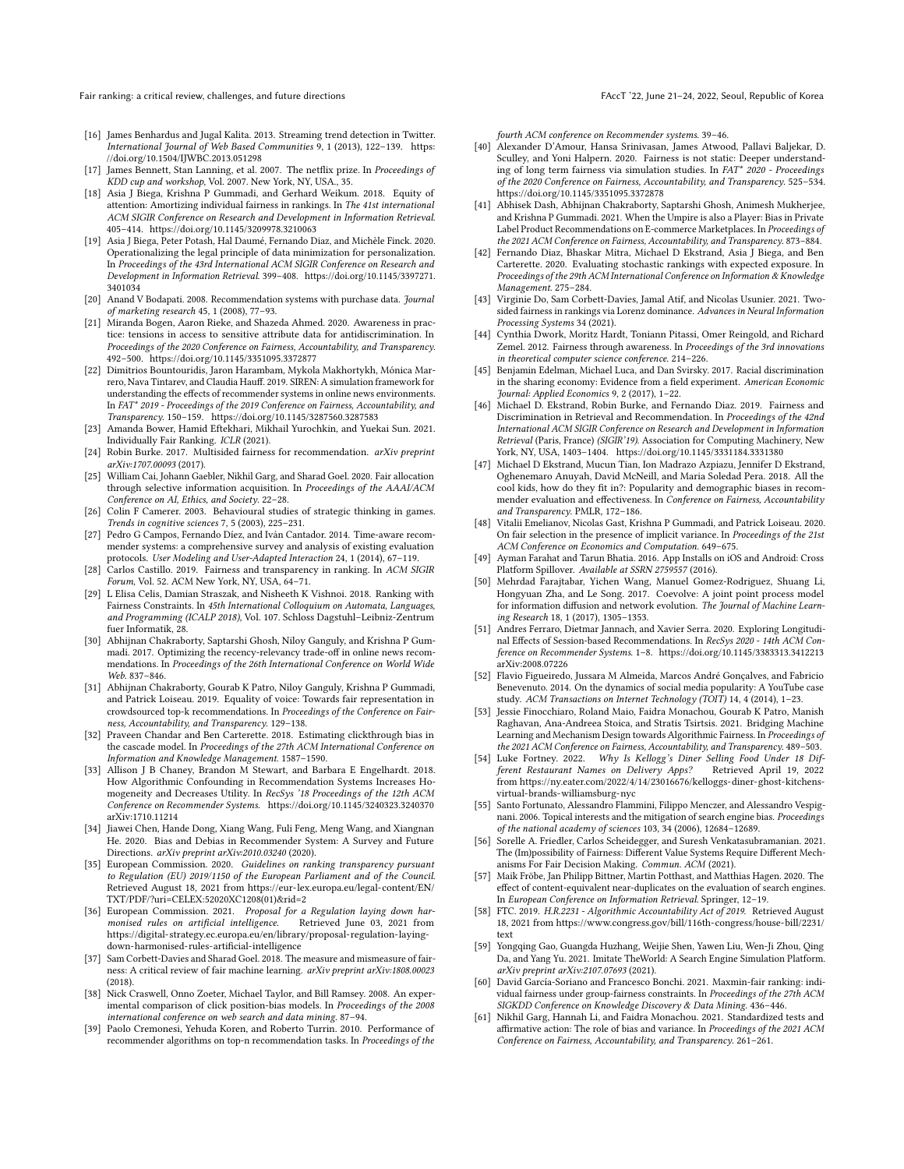Fair ranking: a critical review, challenges, and future directions FACCT '22, June 21–24, 2022, Seoul, Republic of Korea

- <span id="page-10-21"></span>[16] James Benhardus and Jugal Kalita. 2013. Streaming trend detection in Twitter. International Journal of Web Based Communities 9, 1 (2013), 122–139. [https:](https://doi.org/10.1504/IJWBC.2013.051298) [//doi.org/10.1504/IJWBC.2013.051298](https://doi.org/10.1504/IJWBC.2013.051298)
- <span id="page-10-41"></span>[17] James Bennett, Stan Lanning, et al. 2007. The netflix prize. In Proceedings of KDD cup and workshop, Vol. 2007. New York, NY, USA., 35.
- <span id="page-10-2"></span>[18] Asia J Biega, Krishna P Gummadi, and Gerhard Weikum. 2018. Equity of attention: Amortizing individual fairness in rankings. In The 41st international ACM SIGIR Conference on Research and Development in Information Retrieval. 405–414.<https://doi.org/10.1145/3209978.3210063>
- <span id="page-10-42"></span>[19] Asia J Biega, Peter Potash, Hal Daumé, Fernando Diaz, and Michèle Finck. 2020. Operationalizing the legal principle of data minimization for personalization. In Proceedings of the 43rd International ACM SIGIR Conference on Research and Development in Information Retrieval. 399–408. [https://doi.org/10.1145/3397271.](https://doi.org/10.1145/3397271.3401034) [3401034](https://doi.org/10.1145/3397271.3401034)
- <span id="page-10-33"></span>[20] Anand V Bodapati. 2008. Recommendation systems with purchase data. Journal of marketing research 45, 1 (2008), 77–93.
- <span id="page-10-29"></span>[21] Miranda Bogen, Aaron Rieke, and Shazeda Ahmed. 2020. Awareness in practice: tensions in access to sensitive attribute data for antidiscrimination. In Proceedings of the 2020 Conference on Fairness, Accountability, and Transparency. 492–500.<https://doi.org/10.1145/3351095.3372877>
- <span id="page-10-35"></span>[22] Dimitrios Bountouridis, Jaron Harambam, Mykola Makhortykh, Mónica Marrero, Nava Tintarev, and Claudia Hauff. 2019. SIREN: A simulation framework for understanding the effects of recommender systems in online news environments. In FAT\* 2019 - Proceedings of the 2019 Conference on Fairness, Accountability, and Transparency. 150–159.<https://doi.org/10.1145/3287560.3287583>
- <span id="page-10-16"></span>[23] Amanda Bower, Hamid Eftekhari, Mikhail Yurochkin, and Yuekai Sun. 2021. Individually Fair Ranking. ICLR (2021).
- <span id="page-10-3"></span>[24] Robin Burke. 2017. Multisided fairness for recommendation. *arXiv preprint* arXiv:1707.00093 (2017).
- <span id="page-10-4"></span>[25] William Cai, Johann Gaebler, Nikhil Garg, and Sharad Goel. 2020. Fair allocation through selective information acquisition. In Proceedings of the AAAI/ACM Conference on AI, Ethics, and Society. 22–28.
- <span id="page-10-40"></span>[26] Colin F Camerer. 2003. Behavioural studies of strategic thinking in games. Trends in cognitive sciences 7, 5 (2003), 225–231.
- <span id="page-10-18"></span>[27] Pedro G Campos, Fernando Díez, and Iván Cantador, 2014. Time-aware recommender systems: a comprehensive survey and analysis of existing evaluation protocols. User Modeling and User-Adapted Interaction 24, 1 (2014), 67–119.
- <span id="page-10-8"></span>[28] Carlos Castillo. 2019. Fairness and transparency in ranking. In ACM SIGIR Forum, Vol. 52. ACM New York, NY, USA, 64–71.
- <span id="page-10-5"></span>[29] L Elisa Celis, Damian Straszak, and Nisheeth K Vishnoi. 2018. Ranking with Fairness Constraints. In 45th International Colloquium on Automata, Languages, and Programming (ICALP 2018), Vol. 107. Schloss Dagstuhl–Leibniz-Zentrum fuer Informatik, 28.
- <span id="page-10-19"></span>[30] Abhijnan Chakraborty, Saptarshi Ghosh, Niloy Ganguly, and Krishna P Gummadi. 2017. Optimizing the recency-relevancy trade-off in online news recommendations. In Proceedings of the 26th International Conference on World Wide Web. 837–846.
- <span id="page-10-24"></span>[31] Abhijnan Chakraborty, Gourab K Patro, Niloy Ganguly, Krishna P Gummadi, and Patrick Loiseau. 2019. Equality of voice: Towards fair representation in crowdsourced top-k recommendations. In Proceedings of the Conference on Fairness, Accountability, and Transparency. 129–138.
- <span id="page-10-30"></span>[32] Praveen Chandar and Ben Carterette. 2018. Estimating clickthrough bias in the cascade model. In Proceedings of the 27th ACM International Conference on Information and Knowledge Management. 1587–1590.
- <span id="page-10-27"></span>[33] Allison J B Chaney, Brandon M Stewart, and Barbara E Engelhardt. 2018. How Algorithmic Confounding in Recommendation Systems Increases Homogeneity and Decreases Utility. In RecSys '18 Proceedings of the 12th ACM Conference on Recommender Systems.<https://doi.org/10.1145/3240323.3240370> arXiv[:1710.11214](https://arxiv.org/abs/1710.11214)
- <span id="page-10-0"></span>[34] Jiawei Chen, Hande Dong, Xiang Wang, Fuli Feng, Meng Wang, and Xiangnan He. 2020. Bias and Debias in Recommender System: A Survey and Future Directions. arXiv preprint arXiv:2010.03240 (2020).
- <span id="page-10-43"></span>[35] European Commission. 2020. Guidelines on ranking transparency pursuant to Regulation (EU) 2019/1150 of the European Parliament and of the Council. Retrieved August 18, 2021 from [https://eur-lex.europa.eu/legal-content/EN/](https://eur-lex.europa.eu/legal-content/EN/TXT/PDF/?uri=CELEX:52020XC1208(01)&rid=2) [TXT/PDF/?uri=CELEX:52020XC1208\(01\)&rid=2](https://eur-lex.europa.eu/legal-content/EN/TXT/PDF/?uri=CELEX:52020XC1208(01)&rid=2)
- <span id="page-10-45"></span>[36] European Commission. 2021. Proposal for a Regulation laying down har-<br>monised rules on artificial intelligence. Retrieved June 03. 2021 from monised rules on artificial intelligence. [https://digital-strategy.ec.europa.eu/en/library/proposal-regulation-laying](https://digital-strategy.ec.europa.eu/en/library/proposal-regulation-laying-down-harmonised-rules-artificial-intelligence)[down-harmonised-rules-artificial-intelligence](https://digital-strategy.ec.europa.eu/en/library/proposal-regulation-laying-down-harmonised-rules-artificial-intelligence)
- <span id="page-10-9"></span>[37] Sam Corbett-Davies and Sharad Goel. 2018. The measure and mismeasure of fairness: A critical review of fair machine learning. arXiv preprint arXiv:1808.00023 (2018).
- <span id="page-10-6"></span>[38] Nick Craswell, Onno Zoeter, Michael Taylor, and Bill Ramsey. 2008. An experimental comparison of click position-bias models. In Proceedings of the 2008 international conference on web search and data mining. 87–94.
- <span id="page-10-22"></span>[39] Paolo Cremonesi, Yehuda Koren, and Roberto Turrin. 2010. Performance of recommender algorithms on top-n recommendation tasks. In Proceedings of the

fourth ACM conference on Recommender systems. 39–46.

- <span id="page-10-36"></span>[40] Alexander D'Amour, Hansa Srinivasan, James Atwood, Pallavi Baljekar, D. Sculley, and Yoni Halpern. 2020. Fairness is not static: Deeper understanding of long term fairness via simulation studies. In FAT\* 2020 - Proceedings of the 2020 Conference on Fairness, Accountability, and Transparency. 525–534. <https://doi.org/10.1145/3351095.3372878>
- <span id="page-10-28"></span>[41] Abhisek Dash, Abhijnan Chakraborty, Saptarshi Ghosh, Animesh Mukherjee, and Krishna P Gummadi. 2021. When the Umpire is also a Player: Bias in Private Label Product Recommendations on E-commerce Marketplaces. In Proceedings of the 2021 ACM Conference on Fairness, Accountability, and Transparency. 873–884.
- <span id="page-10-15"></span>[42] Fernando Diaz, Bhaskar Mitra, Michael D Ekstrand, Asia J Biega, and Ben Carterette. 2020. Evaluating stochastic rankings with expected exposure. In Proceedings of the 29th ACM International Conference on Information & Knowledge Management. 275–284.
- <span id="page-10-7"></span>[43] Virginie Do, Sam Corbett-Davies, Jamal Atif, and Nicolas Usunier. 2021. Twosided fairness in rankings via Lorenz dominance. Advances in Neural Information Processing Systems 34 (2021).
- <span id="page-10-14"></span>[44] Cynthia Dwork, Moritz Hardt, Toniann Pitassi, Omer Reingold, and Richard Zemel. 2012. Fairness through awareness. In Proceedings of the 3rd innovations in theoretical computer science conference. 214–226.
- <span id="page-10-17"></span>[45] Benjamin Edelman, Michael Luca, and Dan Svirsky. 2017. Racial discrimination in the sharing economy: Evidence from a field experiment. American Economic Journal: Applied Economics 9, 2 (2017), 1–22.
- <span id="page-10-10"></span>[46] Michael D. Ekstrand, Robin Burke, and Fernando Diaz. 2019. Fairness and Discrimination in Retrieval and Recommendation. In Proceedings of the 42nd International ACM SIGIR Conference on Research and Development in Information Retrieval (Paris, France) (SIGIR'19). Association for Computing Machinery, New York, NY, USA, 1403–1404.<https://doi.org/10.1145/3331184.3331380>
- <span id="page-10-1"></span>[47] Michael D Ekstrand, Mucun Tian, Ion Madrazo Azpiazu, Jennifer D Ekstrand, Oghenemaro Anuyah, David McNeill, and Maria Soledad Pera. 2018. All the cool kids, how do they fit in?: Popularity and demographic biases in recommender evaluation and effectiveness. In Conference on Fairness, Accountability and Transparency. PMLR, 172–186.
- <span id="page-10-31"></span>[48] Vitalii Emelianov, Nicolas Gast, Krishna P Gummadi, and Patrick Loiseau. 2020. On fair selection in the presence of implicit variance. In Proceedings of the 21st ACM Conference on Economics and Computation. 649–675.
- <span id="page-10-23"></span>[49] Ayman Farahat and Tarun Bhatia. 2016. App Installs on iOS and Android: Cross Platform Spillover. Available at SSRN 2759557 (2016).
- <span id="page-10-39"></span>[50] Mehrdad Farajtabar, Yichen Wang, Manuel Gomez-Rodriguez, Shuang Li, Hongyuan Zha, and Le Song. 2017. Coevolve: A joint point process model for information diffusion and network evolution. The Journal of Machine Learning Research 18, 1 (2017), 1305–1353.
- <span id="page-10-37"></span>[51] Andres Ferraro, Dietmar Jannach, and Xavier Serra. 2020. Exploring Longitudinal Effects of Session-based Recommendations. In RecSys 2020 - 14th ACM Conference on Recommender Systems. 1–8.<https://doi.org/10.1145/3383313.3412213> arXiv[:2008.07226](https://arxiv.org/abs/2008.07226)
- <span id="page-10-20"></span>[52] Flavio Figueiredo, Jussara M Almeida, Marcos André Gonçalves, and Fabricio Benevenuto. 2014. On the dynamics of social media popularity: A YouTube case study. ACM Transactions on Internet Technology (TOIT) 14, 4 (2014), 1–23.
- <span id="page-10-12"></span>[53] Jessie Finocchiaro, Roland Maio, Faidra Monachou, Gourab K Patro, Manish Raghavan, Ana-Andreea Stoica, and Stratis Tsirtsis. 2021. Bridging Machine Learning and Mechanism Design towards Algorithmic Fairness. In Proceedings of the 2021 ACM Conference on Fairness, Accountability, and Transparency. 489–503.
- <span id="page-10-26"></span>[54] Luke Fortney. 2022. Why Is Kellogg's Diner Selling Food Under 18 Different Restaurant Names on Delivery Apps? from [https://ny.eater.com/2022/4/14/23016676/kelloggs-diner-ghost-kitchens](https://ny.eater.com/2022/4/14/23016676/kelloggs-diner-ghost-kitchens-virtual-brands-williamsburg-nyc)[virtual-brands-williamsburg-nyc](https://ny.eater.com/2022/4/14/23016676/kelloggs-diner-ghost-kitchens-virtual-brands-williamsburg-nyc)
- <span id="page-10-34"></span>[55] Santo Fortunato, Alessandro Flammini, Filippo Menczer, and Alessandro Vespignani. 2006. Topical interests and the mitigation of search engine bias. Proceedings of the national academy of sciences 103, 34 (2006), 12684–12689.
- <span id="page-10-13"></span>[56] Sorelle A. Friedler, Carlos Scheidegger, and Suresh Venkatasubramanian. 2021. The (Im)possibility of Fairness: Different Value Systems Require Different Mechanisms For Fair Decision Making. Commun. ACM (2021).
- <span id="page-10-25"></span>[57] Maik Fröbe, Jan Philipp Bittner, Martin Potthast, and Matthias Hagen. 2020. The effect of content-equivalent near-duplicates on the evaluation of search engines. In European Conference on Information Retrieval. Springer, 12–19.
- <span id="page-10-44"></span>[58] FTC. 2019. H.R.2231 - Algorithmic Accountability Act of 2019. Retrieved August 18, 2021 from [https://www.congress.gov/bill/116th-congress/house-bill/2231/](https://www.congress.gov/bill/116th-congress/house-bill/2231/text) [text](https://www.congress.gov/bill/116th-congress/house-bill/2231/text)
- <span id="page-10-38"></span>[59] Yongqing Gao, Guangda Huzhang, Weijie Shen, Yawen Liu, Wen-Ji Zhou, Qing Da, and Yang Yu. 2021. Imitate TheWorld: A Search Engine Simulation Platform. arXiv preprint arXiv:2107.07693 (2021).
- <span id="page-10-11"></span>[60] David García-Soriano and Francesco Bonchi. 2021. Maxmin-fair ranking: individual fairness under group-fairness constraints. In Proceedings of the 27th ACM SIGKDD Conference on Knowledge Discovery & Data Mining. 436–446.
- <span id="page-10-32"></span>[61] Nikhil Garg, Hannah Li, and Faidra Monachou. 2021. Standardized tests and affirmative action: The role of bias and variance. In Proceedings of the 2021 ACM Conference on Fairness, Accountability, and Transparency. 261–261.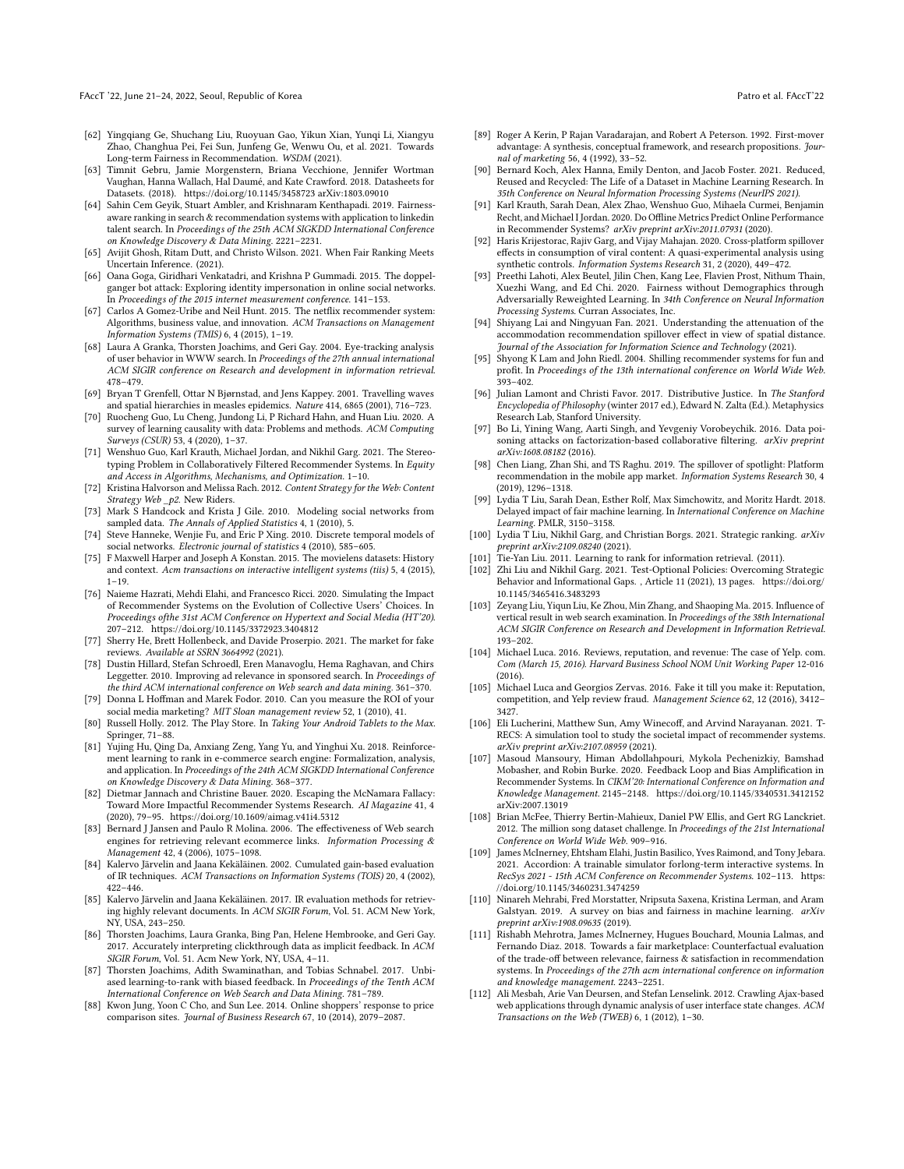- <span id="page-11-27"></span>[62] Yingqiang Ge, Shuchang Liu, Ruoyuan Gao, Yikun Xian, Yunqi Li, Xiangyu Zhao, Changhua Pei, Fei Sun, Junfeng Ge, Wenwu Ou, et al. 2021. Towards Long-term Fairness in Recommendation. WSDM (2021).
- <span id="page-11-50"></span>[63] Timnit Gebru, Jamie Morgenstern, Briana Vecchione, Jennifer Wortman Vaughan, Hanna Wallach, Hal Daumé, and Kate Crawford. 2018. Datasheets for Datasets. (2018).<https://doi.org/10.1145/3458723> arXiv[:1803.09010](https://arxiv.org/abs/1803.09010)
- <span id="page-11-2"></span>[64] Sahin Cem Geyik, Stuart Ambler, and Krishnaram Kenthapadi. 2019. Fairnessaware ranking in search & recommendation systems with application to linkedin talent search. In Proceedings of the 25th ACM SIGKDD International Conference on Knowledge Discovery & Data Mining. 2221–2231.
- <span id="page-11-26"></span>[65] Avijit Ghosh, Ritam Dutt, and Christo Wilson. 2021. When Fair Ranking Meets Uncertain Inference. (2021).
- <span id="page-11-18"></span>[66] Oana Goga, Giridhari Venkatadri, and Krishna P Gummadi. 2015. The doppelganger bot attack: Exploring identity impersonation in online social networks. In Proceedings of the 2015 internet measurement conference. 141–153.
- <span id="page-11-32"></span>[67] Carlos A Gomez-Uribe and Neil Hunt. 2015. The netflix recommender system: Algorithms, business value, and innovation. ACM Transactions on Management Information Systems (TMIS) 6, 4 (2015), 1–19.
- <span id="page-11-30"></span>[68] Laura A Granka, Thorsten Joachims, and Geri Gay. 2004. Eye-tracking analysis of user behavior in WWW search. In Proceedings of the 27th annual international ACM SIGIR conference on Research and development in information retrieval. 478–479.
- <span id="page-11-42"></span>[69] Bryan T Grenfell, Ottar N Bjørnstad, and Jens Kappey. 2001. Travelling waves and spatial hierarchies in measles epidemics. Nature 414, 6865 (2001), 716–723.
- <span id="page-11-41"></span>[70] Ruocheng Guo, Lu Cheng, Jundong Li, P Richard Hahn, and Huan Liu. 2020. A survey of learning causality with data: Problems and methods. ACM Computing Surveys (CSUR) 53, 4 (2020), 1–37.
- <span id="page-11-3"></span>[71] Wenshuo Guo, Karl Krauth, Michael Jordan, and Nikhil Garg. 2021. The Stereotyping Problem in Collaboratively Filtered Recommender Systems. In Equity and Access in Algorithms, Mechanisms, and Optimization. 1–10.
- <span id="page-11-23"></span>[72] Kristina Halvorson and Melissa Rach. 2012. Content Strategy for the Web: Content Strategy Web \_p2. New Riders.
- <span id="page-11-39"></span>[73] Mark S Handcock and Krista J Gile. 2010. Modeling social networks from sampled data. The Annals of Applied Statistics 4, 1 (2010), 5. [74] Steve Hanneke, Wenjie Fu, and Eric P Xing. 2010. Discrete temporal models of
- <span id="page-11-40"></span>social networks. Electronic journal of statistics 4 (2010), 585-605.
- <span id="page-11-43"></span>[75] F Maxwell Harper and Joseph A Konstan. 2015. The movielens datasets: History and context. Acm transactions on interactive intelligent systems (tiis) 5, 4 (2015),  $1 - 19.$
- <span id="page-11-35"></span>[76] Naieme Hazrati, Mehdi Elahi, and Francesco Ricci. 2020. Simulating the Impact of Recommender Systems on the Evolution of Collective Users' Choices. In Proceedings ofthe 31st ACM Conference on Hypertext and Social Media (HT'20). 207–212.<https://doi.org/10.1145/3372923.3404812>
- <span id="page-11-45"></span>[77] Sherry He, Brett Hollenbeck, and Davide Proserpio. 2021. The market for fake reviews. Available at SSRN 3664992 (2021).
- <span id="page-11-9"></span>[78] Dustin Hillard, Stefan Schroedl, Eren Manavoglu, Hema Raghavan, and Chirs Leggetter. 2010. Improving ad relevance in sponsored search. In Proceedings of the third ACM international conference on Web search and data mining. 361–370.
- <span id="page-11-16"></span>[79] Donna L Hoffman and Marek Fodor. 2010. Can you measure the ROI of your social media marketing? MIT Sloan management review 52, 1 (2010), 41.
- <span id="page-11-11"></span>[80] Russell Holly. 2012. The Play Store. In Taking Your Android Tablets to the Max. Springer, 71–88.
- <span id="page-11-34"></span>[81] Yujing Hu, Qing Da, Anxiang Zeng, Yang Yu, and Yinghui Xu. 2018. Reinforcement learning to rank in e-commerce search engine: Formalization, analysis, and application. In Proceedings of the 24th ACM SIGKDD International Conference on Knowledge Discovery & Data Mining. 368–377.
- <span id="page-11-4"></span>[82] Dietmar Jannach and Christine Bauer. 2020. Escaping the McNamara Fallacy: Toward More Impactful Recommender Systems Research. AI Magazine 41, 4 (2020), 79–95.<https://doi.org/10.1609/aimag.v41i4.5312>
- <span id="page-11-14"></span>[83] Bernard J Jansen and Paulo R Molina. 2006. The effectiveness of Web search engines for retrieving relevant ecommerce links. Information Processing & Management 42, 4 (2006), 1075–1098.
- <span id="page-11-5"></span>[84] Kalervo Järvelin and Jaana Kekäläinen. 2002. Cumulated gain-based evaluation of IR techniques. ACM Transactions on Information Systems (TOIS) 20, 4 (2002), 422–446.
- <span id="page-11-6"></span>[85] Kalervo Järvelin and Jaana Kekäläinen. 2017. IR evaluation methods for retrieving highly relevant documents. In ACM SIGIR Forum, Vol. 51. ACM New York, NY, USA, 243–250.
- <span id="page-11-29"></span><span id="page-11-8"></span>[86] Thorsten Joachims, Laura Granka, Bing Pan, Helene Hembrooke, and Geri Gay. 2017. Accurately interpreting clickthrough data as implicit feedback. In ACM SIGIR Forum, Vol. 51. Acm New York, NY, USA, 4–11.
- <span id="page-11-49"></span>[87] Thorsten Joachims, Adith Swaminathan, and Tobias Schnabel. 2017. Unbiased learning-to-rank with biased feedback. In Proceedings of the Tenth ACM International Conference on Web Search and Data Mining. 781–789.
- <span id="page-11-28"></span><span id="page-11-15"></span>[88] Kwon Jung, Yoon C Cho, and Sun Lee. 2014. Online shoppers' response to price comparison sites. Journal of Business Research 67, 10 (2014), 2079–2087.
- <span id="page-11-17"></span>[89] Roger A Kerin, P Rajan Varadarajan, and Robert A Peterson. 1992. First-mover advantage: A synthesis, conceptual framework, and research propositions. Journal of marketing 56, 4 (1992), 33–52.
- <span id="page-11-47"></span>[90] Bernard Koch, Alex Hanna, Emily Denton, and Jacob Foster. 2021. Reduced, Reused and Recycled: The Life of a Dataset in Machine Learning Research. In 35th Conference on Neural Information Processing Systems (NeurIPS 2021).
- <span id="page-11-33"></span>[91] Karl Krauth, Sarah Dean, Alex Zhao, Wenshuo Guo, Mihaela Curmei, Benjamin Recht, and Michael I Jordan. 2020. Do Offline Metrics Predict Online Performance in Recommender Systems? arXiv preprint arXiv:2011.07931 (2020).
- <span id="page-11-13"></span>[92] Haris Krijestorac, Rajiv Garg, and Vijay Mahajan. 2020. Cross-platform spillover effects in consumption of viral content: A quasi-experimental analysis using synthetic controls. Information Systems Research 31, 2 (2020), 449–472.
- <span id="page-11-25"></span>[93] Preethi Lahoti, Alex Beutel, Jilin Chen, Kang Lee, Flavien Prost, Nithum Thain, Xuezhi Wang, and Ed Chi. 2020. Fairness without Demographics through Adversarially Reweighted Learning. In 34th Conference on Neural Information Processing Systems. Curran Associates, Inc.
- <span id="page-11-10"></span>[94] Shiyang Lai and Ningyuan Fan. 2021. Understanding the attenuation of the accommodation recommendation spillover effect in view of spatial distance. Journal of the Association for Information Science and Technology (2021).
- <span id="page-11-19"></span>[95] Shyong K Lam and John Riedl. 2004. Shilling recommender systems for fun and profit. In Proceedings of the 13th international conference on World Wide Web.  $393 - 402$ .
- <span id="page-11-7"></span>[96] Julian Lamont and Christi Favor. 2017. Distributive Justice. In The Stanford Encyclopedia of Philosophy (winter 2017 ed.), Edward N. Zalta (Ed.). Metaphysics Research Lab, Stanford University.
- <span id="page-11-20"></span>[97] Bo Li, Yining Wang, Aarti Singh, and Yevgeniy Vorobeychik. 2016. Data poisoning attacks on factorization-based collaborative filtering. arXiv preprint arXiv:1608.08182 (2016).
- <span id="page-11-12"></span>[98] Chen Liang, Zhan Shi, and TS Raghu. 2019. The spillover of spotlight: Platform recommendation in the mobile app market. Information Systems Research 30, 4 (2019), 1296–1318.
- <span id="page-11-48"></span>[99] Lydia T Liu, Sarah Dean, Esther Rolf, Max Simchowitz, and Moritz Hardt. 2018. Delayed impact of fair machine learning. In International Conference on Machine Learning. PMLR, 3150–3158.
- <span id="page-11-46"></span><span id="page-11-44"></span><span id="page-11-38"></span><span id="page-11-37"></span><span id="page-11-36"></span><span id="page-11-31"></span><span id="page-11-24"></span><span id="page-11-22"></span><span id="page-11-21"></span><span id="page-11-1"></span><span id="page-11-0"></span>[100] Lydia T Liu, Nikhil Garg, and Christian Borgs. 2021. Strategic ranking. arXiv
	- preprint arXiv:2109.08240 (2021).<br>[101] Tie-Yan Liu. 2011. Learning to rank for information retrieval. (2011).
	- [102] Zhi Liu and Nikhil Garg. 2021. Test-Optional Policies: Overcoming Strategic Behavior and Informational Gaps. , Article 11 (2021), 13 pages. [https://doi.org/](https://doi.org/10.1145/3465416.3483293) [10.1145/3465416.3483293](https://doi.org/10.1145/3465416.3483293)
	- [103] Zeyang Liu, Yiqun Liu, Ke Zhou, Min Zhang, and Shaoping Ma. 2015. Influence of vertical result in web search examination. In Proceedings of the 38th International ACM SIGIR Conference on Research and Development in Information Retrieval. 193–202.
	- [104] Michael Luca. 2016. Reviews, reputation, and revenue: The case of Yelp. com. Com (March 15, 2016). Harvard Business School NOM Unit Working Paper 12-016 (2016).
	- [105] Michael Luca and Georgios Zervas. 2016. Fake it till you make it: Reputation, competition, and Yelp review fraud. Management Science 62, 12 (2016), 3412– 3427.
	- [106] Eli Lucherini, Matthew Sun, Amy Winecoff, and Arvind Narayanan. 2021. T-RECS: A simulation tool to study the societal impact of recommender systems. arXiv preprint arXiv:2107.08959 (2021).
	- [107] Masoud Mansoury, Himan Abdollahpouri, Mykola Pechenizkiy, Bamshad Mobasher, and Robin Burke. 2020. Feedback Loop and Bias Amplification in Recommender Systems. In CIKM'20: International Conference on Information and Knowledge Management. 2145–2148.<https://doi.org/10.1145/3340531.3412152> arXiv[:2007.13019](https://arxiv.org/abs/2007.13019)
	- [108] Brian McFee, Thierry Bertin-Mahieux, Daniel PW Ellis, and Gert RG Lanckriet. 2012. The million song dataset challenge. In Proceedings of the 21st International Conference on World Wide Web. 909–916.
	- [109] James McInerney, Ehtsham Elahi, Justin Basilico, Yves Raimond, and Tony Jebara. 2021. Accordion: A trainable simulator forlong-term interactive systems. In RecSys 2021 - 15th ACM Conference on Recommender Systems. 102–113. [https:](https://doi.org/10.1145/3460231.3474259) [//doi.org/10.1145/3460231.3474259](https://doi.org/10.1145/3460231.3474259)
	- [110] Ninareh Mehrabi, Fred Morstatter, Nripsuta Saxena, Kristina Lerman, and Aram Galstyan. 2019. A survey on bias and fairness in machine learning. arXiv preprint arXiv:1908.09635 (2019).
	- [111] Rishabh Mehrotra, James McInerney, Hugues Bouchard, Mounia Lalmas, and Fernando Diaz. 2018. Towards a fair marketplace: Counterfactual evaluation of the trade-off between relevance, fairness  $\&$  satisfaction in recommendation systems. In Proceedings of the 27th acm international conference on information and knowledge management. 2243–2251.
	- [112] Ali Mesbah, Arie Van Deursen, and Stefan Lenselink. 2012. Crawling Ajax-based web applications through dynamic analysis of user interface state changes. ACM Transactions on the Web (TWEB) 6, 1 (2012), 1–30.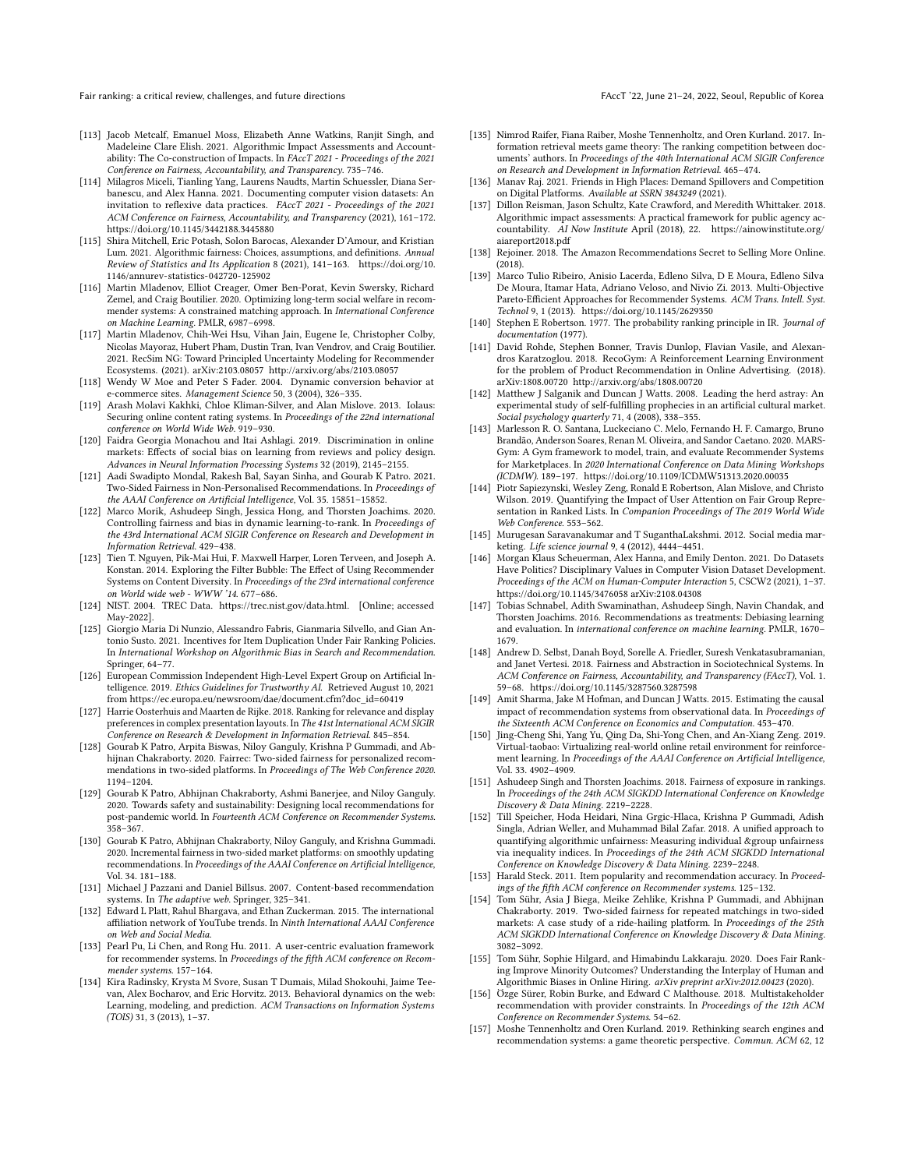Fair ranking: a critical review, challenges, and future directions FACCT '22, June 21–24, 2022, Seoul, Republic of Korea

- <span id="page-12-30"></span>[113] Jacob Metcalf, Emanuel Moss, Elizabeth Anne Watkins, Ranjit Singh, and Madeleine Clare Elish. 2021. Algorithmic Impact Assessments and Accountability: The Co-construction of Impacts. In FAccT 2021 - Proceedings of the 2021 Conference on Fairness, Accountability, and Transparency. 735–746.
- <span id="page-12-42"></span>[114] Milagros Miceli, Tianling Yang, Laurens Naudts, Martin Schuessler, Diana Serbanescu, and Alex Hanna. 2021. Documenting computer vision datasets: An invitation to reflexive data practices. FAccT 2021 - Proceedings of the 2021 ACM Conference on Fairness, Accountability, and Transparency (2021), 161–172. <https://doi.org/10.1145/3442188.3445880>
- <span id="page-12-0"></span>[115] Shira Mitchell, Eric Potash, Solon Barocas, Alexander D'Amour, and Kristian Lum. 2021. Algorithmic fairness: Choices, assumptions, and definitions. Annual Review of Statistics and Its Application 8 (2021), 141–163. [https://doi.org/10.](https://doi.org/10.1146/annurev-statistics-042720-125902) [1146/annurev-statistics-042720-125902](https://doi.org/10.1146/annurev-statistics-042720-125902)
- <span id="page-12-17"></span>[116] Martin Mladenov, Elliot Creager, Omer Ben-Porat, Kevin Swersky, Richard Zemel, and Craig Boutilier. 2020. Optimizing long-term social welfare in recommender systems: A constrained matching approach. In International Conference on Machine Learning. PMLR, 6987–6998.
- <span id="page-12-35"></span>[117] Martin Mladenov, Chih-Wei Hsu, Vihan Jain, Eugene Ie, Christopher Colby, Nicolas Mayoraz, Hubert Pham, Dustin Tran, Ivan Vendrov, and Craig Boutilier. 2021. RecSim NG: Toward Principled Uncertainty Modeling for Recommender Ecosystems. (2021). arXiv[:2103.08057](https://arxiv.org/abs/2103.08057)<http://arxiv.org/abs/2103.08057>
- <span id="page-12-12"></span>[118] Wendy W Moe and Peter S Fader. 2004. Dynamic conversion behavior at e-commerce sites. Management Science 50, 3 (2004), 326–335.
- <span id="page-12-25"></span>[119] Arash Molavi Kakhki, Chloe Kliman-Silver, and Alan Mislove. 2013. Iolaus: Securing online content rating systems. In Proceedings of the 22nd international conference on World Wide Web. 919–930.
- <span id="page-12-13"></span>[120] Faidra Georgia Monachou and Itai Ashlagi. 2019. Discrimination in online markets: Effects of social bias on learning from reviews and policy design. Advances in Neural Information Processing Systems 32 (2019), 2145–2155.
- <span id="page-12-7"></span>[121] Aadi Swadipto Mondal, Rakesh Bal, Sayan Sinha, and Gourab K Patro. 2021. Two-Sided Fairness in Non-Personalised Recommendations. In Proceedings of the AAAI Conference on Artificial Intelligence, Vol. 35. 15851–15852.
- <span id="page-12-11"></span>[122] Marco Morik, Ashudeep Singh, Jessica Hong, and Thorsten Joachims. 2020. Controlling fairness and bias in dynamic learning-to-rank. In Proceedings of the 43rd International ACM SIGIR Conference on Research and Development in Information Retrieval. 429–438.
- <span id="page-12-32"></span>[123] Tien T. Nguyen, Pik-Mai Hui, F. Maxwell Harper, Loren Terveen, and Joseph A. Konstan. 2014. Exploring the Filter Bubble: The Effect of Using Recommender Systems on Content Diversity. In Proceedings of the 23rd international conference on World wide web -  $WWW$  <sup>'</sup>14. 677–686.
- <span id="page-12-41"></span>[124] NIST. 2004. TREC Data. [https://trec.nist.gov/data.html.](https://trec.nist.gov/data.html) [Online; accessed May-2022].
- <span id="page-12-24"></span>[125] Giorgio Maria Di Nunzio, Alessandro Fabris, Gianmaria Silvello, and Gian Antonio Susto. 2021. Incentives for Item Duplication Under Fair Ranking Policies. In International Workshop on Algorithmic Bias in Search and Recommendation. Springer, 64–77.
- <span id="page-12-44"></span>[126] European Commission Independent High-Level Expert Group on Artificial Intelligence. 2019. Ethics Guidelines for Trustworthy AI. Retrieved August 10, 2021 from [https://ec.europa.eu/newsroom/dae/document.cfm?doc\\_id=60419](https://ec.europa.eu/newsroom/dae/document.cfm?doc_id=60419)
- <span id="page-12-28"></span>[127] Harrie Oosterhuis and Maarten de Rijke. 2018. Ranking for relevance and display preferences in complex presentation layouts. In The 41st International ACM SIGIR Conference on Research & Development in Information Retrieval. 845–854.
- <span id="page-12-8"></span>[128] Gourab K Patro, Arpita Biswas, Niloy Ganguly, Krishna P Gummadi, and Abhijnan Chakraborty. 2020. Fairrec: Two-sided fairness for personalized recommendations in two-sided platforms. In Proceedings of The Web Conference 2020. 1194–1204.
- <span id="page-12-33"></span>[129] Gourab K Patro, Abhijnan Chakraborty, Ashmi Banerjee, and Niloy Ganguly. 2020. Towards safety and sustainability: Designing local recommendations for post-pandemic world. In Fourteenth ACM Conference on Recommender Systems. 358–367.
- <span id="page-12-27"></span>[130] Gourab K Patro, Abhijnan Chakraborty, Niloy Ganguly, and Krishna Gummadi. 2020. Incremental fairness in two-sided market platforms: on smoothly updating recommendations. In Proceedings of the AAAI Conference on Artificial Intelligence, Vol. 34. 181–188.
- <span id="page-12-19"></span>[131] Michael J Pazzani and Daniel Billsus. 2007. Content-based recommendation systems. In The adaptive web. Springer, 325–341.
- <span id="page-12-20"></span>[132] Edward L Platt, Rahul Bhargava, and Ethan Zuckerman. 2015. The international affiliation network of YouTube trends. In Ninth International AAAI Conference on Web and Social Media.
- <span id="page-12-5"></span>[133] Pearl Pu, Li Chen, and Rong Hu. 2011. A user-centric evaluation framework for recommender systems. In Proceedings of the fifth ACM conference on Recommender systems. 157–164.
- <span id="page-12-38"></span>[134] Kira Radinsky, Krysta M Svore, Susan T Dumais, Milad Shokouhi, Jaime Teevan, Alex Bocharov, and Eric Horvitz. 2013. Behavioral dynamics on the web: Learning, modeling, and prediction. ACM Transactions on Information Systems (TOIS) 31, 3 (2013), 1–37.
- <span id="page-12-26"></span>[135] Nimrod Raifer, Fiana Raiber, Moshe Tennenholtz, and Oren Kurland. 2017. Information retrieval meets game theory: The ranking competition between documents' authors. In Proceedings of the 40th International ACM SIGIR Conference on Research and Development in Information Retrieval. 465–474.
- <span id="page-12-21"></span>[136] Manav Raj. 2021. Friends in High Places: Demand Spillovers and Competition on Digital Platforms. Available at SSRN 3843249 (2021).
- <span id="page-12-31"></span>[137] Dillon Reisman, Jason Schultz, Kate Crawford, and Meredith Whittaker. 2018. Algorithmic impact assessments: A practical framework for public agency accountability. AI Now Institute April (2018), 22. [https://ainowinstitute.org/](https://ainowinstitute.org/aiareport2018.pdf) [aiareport2018.pdf](https://ainowinstitute.org/aiareport2018.pdf)
- <span id="page-12-18"></span>[138] Rejoiner. 2018. The Amazon Recommendations Secret to Selling More Online. (2018).
- <span id="page-12-10"></span>[139] Marco Tulio Ribeiro, Anisio Lacerda, Edleno Silva, D E Moura, Edleno Silva De Moura, Itamar Hata, Adriano Veloso, and Nivio Zi. 2013. Multi-Objective Pareto-Efficient Approaches for Recommender Systems. ACM Trans. Intell. Syst. Technol 9, 1 (2013).<https://doi.org/10.1145/2629350>
- <span id="page-12-6"></span>[140] Stephen E Robertson. 1977. The probability ranking principle in IR. Journal of documentation (1977).
- <span id="page-12-36"></span>[141] David Rohde, Stephen Bonner, Travis Dunlop, Flavian Vasile, and Alexandros Karatzoglou. 2018. RecoGym: A Reinforcement Learning Environment for the problem of Product Recommendation in Online Advertising. (2018). arXiv[:1808.00720](https://arxiv.org/abs/1808.00720)<http://arxiv.org/abs/1808.00720>
- <span id="page-12-15"></span>[142] Matthew J Salganik and Duncan J Watts. 2008. Leading the herd astray: An experimental study of self-fulfilling prophecies in an artificial cultural market. Social psychology quarterly 71, 4 (2008),  $338-355$ .
- <span id="page-12-34"></span>[143] Marlesson R. O. Santana, Luckeciano C. Melo, Fernando H. F. Camargo, Bruno Brandão, Anderson Soares, Renan M. Oliveira, and Sandor Caetano. 2020. MARS-Gym: A Gym framework to model, train, and evaluate Recommender Systems for Marketplaces. In 2020 International Conference on Data Mining Workshops (ICDMW). 189–197.<https://doi.org/10.1109/ICDMW51313.2020.00035>
- <span id="page-12-29"></span>[144] Piotr Sapiezynski, Wesley Zeng, Ronald E Robertson, Alan Mislove, and Christo Wilson. 2019. Quantifying the Impact of User Attention on Fair Group Representation in Ranked Lists. In Companion Proceedings of The 2019 World Wide Web Conference. 553–562.
- <span id="page-12-22"></span>[145] Murugesan Saravanakumar and T SuganthaLakshmi. 2012. Social media marketing. Life science journal 9, 4 (2012), 4444–4451.
- <span id="page-12-43"></span>[146] Morgan Klaus Scheuerman, Alex Hanna, and Emily Denton. 2021. Do Datasets Have Politics? Disciplinary Values in Computer Vision Dataset Development. Proceedings of the ACM on Human-Computer Interaction 5, CSCW2 (2021), 1–37. <https://doi.org/10.1145/3476058> arXiv[:2108.04308](https://arxiv.org/abs/2108.04308)
- <span id="page-12-39"></span>[147] Tobias Schnabel, Adith Swaminathan, Ashudeep Singh, Navin Chandak, and Thorsten Joachims. 2016. Recommendations as treatments: Debiasing learning and evaluation. In international conference on machine learning. PMLR, 1670– 1679.
- <span id="page-12-4"></span>[148] Andrew D. Selbst, Danah Boyd, Sorelle A. Friedler, Suresh Venkatasubramanian, and Janet Vertesi. 2018. Fairness and Abstraction in Sociotechnical Systems. In ACM Conference on Fairness, Accountability, and Transparency (FAccT), Vol. 1. 59–68.<https://doi.org/10.1145/3287560.3287598>
- <span id="page-12-40"></span>[149] Amit Sharma, Jake M Hofman, and Duncan J Watts. 2015. Estimating the causal impact of recommendation systems from observational data. In Proceedings of the Sixteenth ACM Conference on Economics and Computation. 453–470.
- <span id="page-12-37"></span>[150] Jing-Cheng Shi, Yang Yu, Qing Da, Shi-Yong Chen, and An-Xiang Zeng. 2019. Virtual-taobao: Virtualizing real-world online retail environment for reinforcement learning. In Proceedings of the AAAI Conference on Artificial Intelligence, Vol. 33. 4902–4909.
- <span id="page-12-1"></span>[151] Ashudeep Singh and Thorsten Joachims. 2018. Fairness of exposure in rankings. In Proceedings of the 24th ACM SIGKDD International Conference on Knowledge Discovery & Data Mining. 2219–2228.
- <span id="page-12-9"></span>[152] Till Speicher, Hoda Heidari, Nina Grgic-Hlaca, Krishna P Gummadi, Adish Singla, Adrian Weller, and Muhammad Bilal Zafar. 2018. A unified approach to quantifying algorithmic unfairness: Measuring individual &group unfairness via inequality indices. In Proceedings of the 24th ACM SIGKDD International Conference on Knowledge Discovery & Data Mining. 2239–2248.
- <span id="page-12-16"></span>[153] Harald Steck. 2011. Item popularity and recommendation accuracy. In Proceedings of the fifth ACM conference on Recommender systems. 125–132.
- <span id="page-12-3"></span>[154] Tom Sühr, Asia J Biega, Meike Zehlike, Krishna P Gummadi, and Abhijnan Chakraborty. 2019. Two-sided fairness for repeated matchings in two-sided markets: A case study of a ride-hailing platform. In Proceedings of the 25th ACM SIGKDD International Conference on Knowledge Discovery & Data Mining. 3082–3092.
- <span id="page-12-14"></span>[155] Tom Sühr, Sophie Hilgard, and Himabindu Lakkaraju. 2020. Does Fair Ranking Improve Minority Outcomes? Understanding the Interplay of Human and Algorithmic Biases in Online Hiring. arXiv preprint arXiv:2012.00423 (2020).
- <span id="page-12-2"></span>[156] Özge Sürer, Robin Burke, and Edward C Malthouse. 2018. Multistakeholder recommendation with provider constraints. In Proceedings of the 12th ACM Conference on Recommender Systems. 54–62.
- <span id="page-12-23"></span>[157] Moshe Tennenholtz and Oren Kurland. 2019. Rethinking search engines and recommendation systems: a game theoretic perspective. Commun. ACM 62, 12